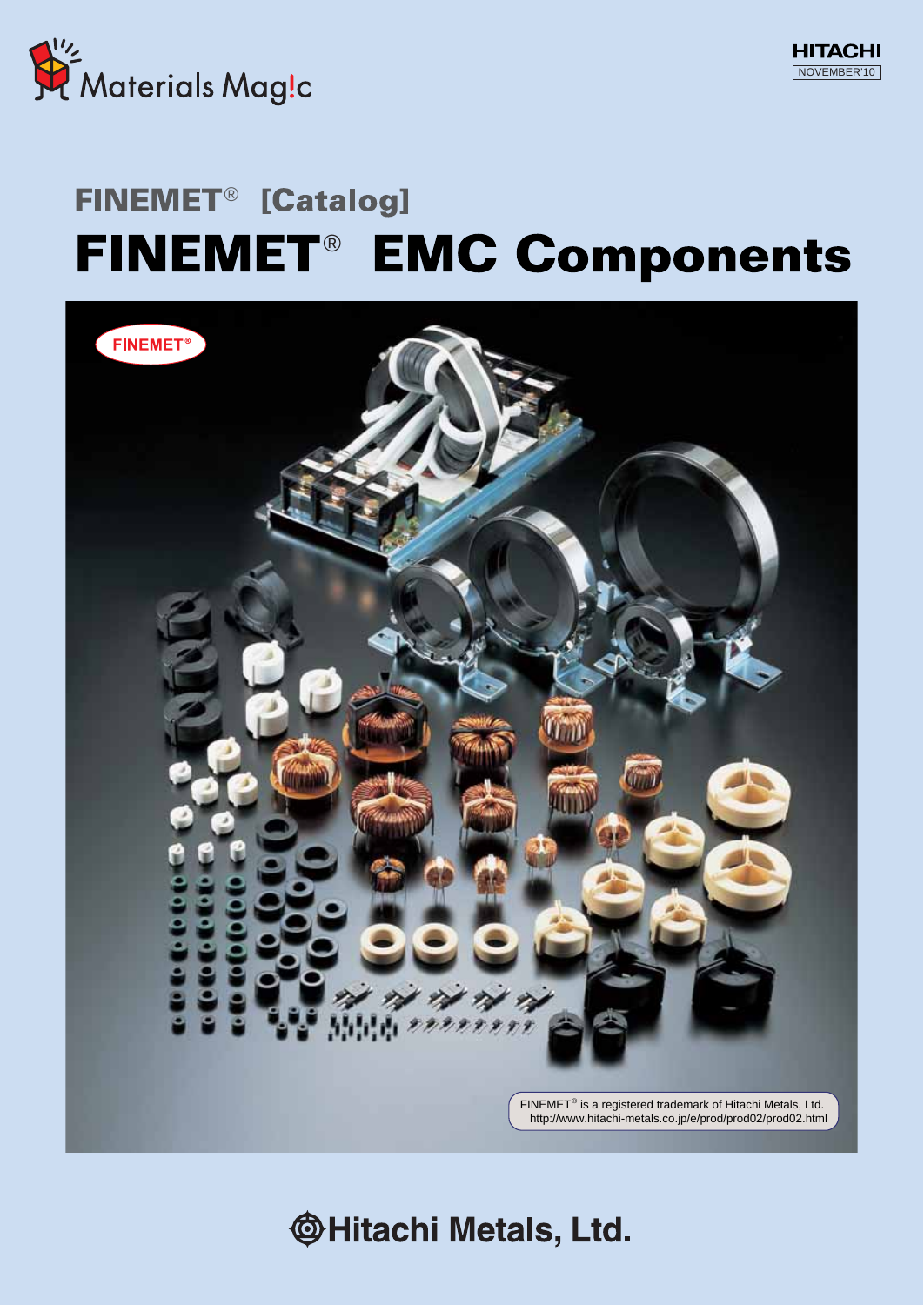

# FINEMET<sup>®</sup> [Catalog] FINEMET<sup>®</sup> EMC Components



**@Hitachi Metals, Ltd.**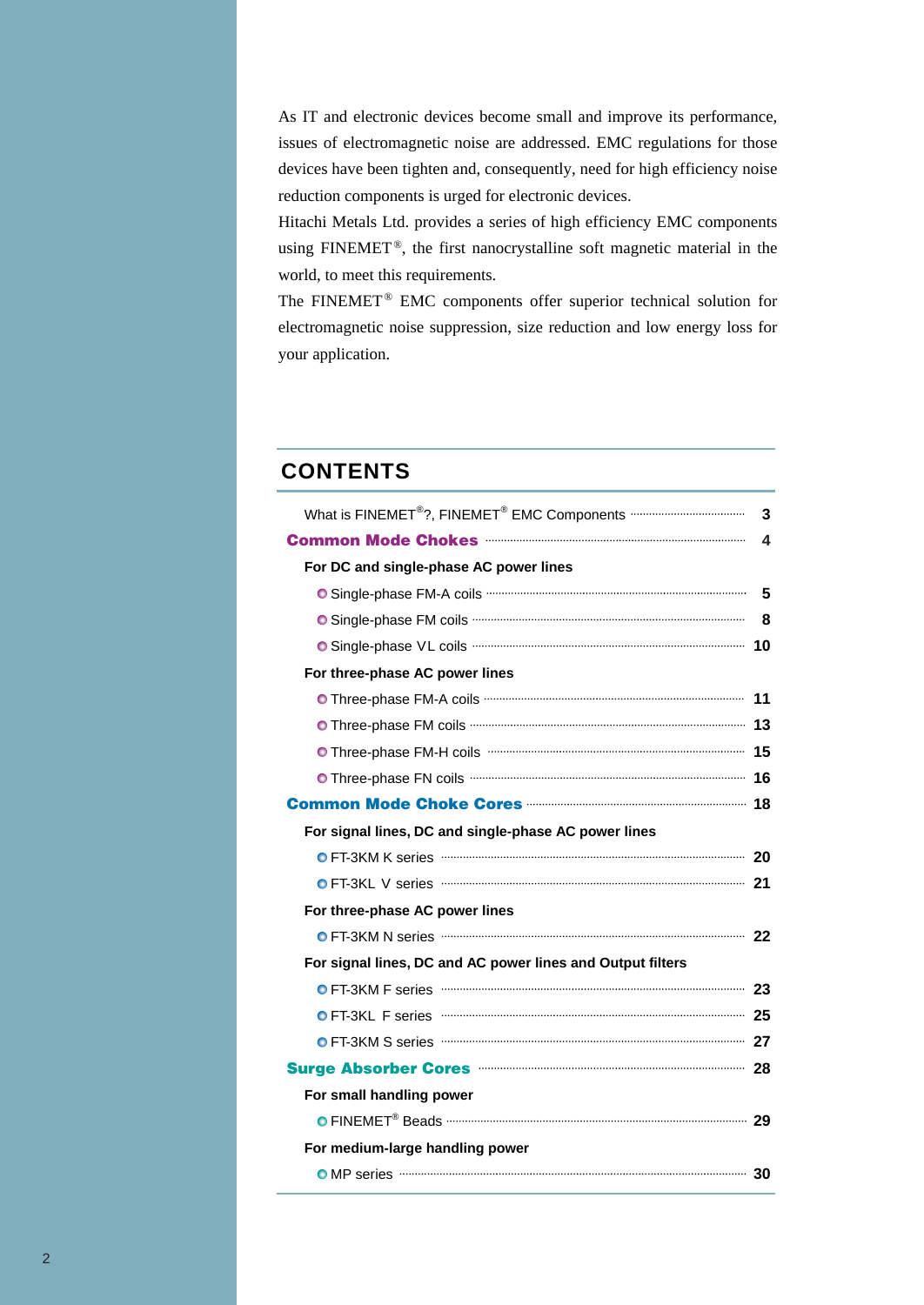As IT and electronic devices become small and improve its performance, issues of electromagnetic noise are addressed. EMC regulations for those devices have been tighten and, consequently, need for high efficiency noise reduction components is urged for electronic devices.

Hitachi Metals Ltd. provides a series of high efficiency EMC components using FINEMET®, the first nanocrystalline soft magnetic material in the world, to meet this requirements.

The FINEMET® EMC components offer superior technical solution for electromagnetic noise suppression, size reduction and low energy loss for your application.

### **CONTENTS**

| What is FINEMET <sup>®</sup> ?, FINEMET <sup>®</sup> EMC Components ·································· | 3 |
|--------------------------------------------------------------------------------------------------------|---|
|                                                                                                        | 4 |
| For DC and single-phase AC power lines                                                                 |   |
|                                                                                                        | 5 |
|                                                                                                        | 8 |
|                                                                                                        |   |
| For three-phase AC power lines                                                                         |   |
|                                                                                                        |   |
|                                                                                                        |   |
|                                                                                                        |   |
|                                                                                                        |   |
|                                                                                                        |   |
| For signal lines, DC and single-phase AC power lines                                                   |   |
| O FT-3KM K series <b>O FT-3KM K Series O FT-3KM</b> K series <b>All 20</b>                             |   |
|                                                                                                        |   |
| For three-phase AC power lines                                                                         |   |
|                                                                                                        |   |
| For signal lines, DC and AC power lines and Output filters                                             |   |
|                                                                                                        |   |
| O FT-3KL F series <b>CONFIDENTIAL CONTROL</b> 25                                                       |   |
| O FT-3KM S series <b>CODE TE-3KM</b> S series <b>O FT-3KM</b> S series <b>O FT-3KM</b>                 |   |
|                                                                                                        |   |
| For small handling power                                                                               |   |
|                                                                                                        |   |
| For medium-large handling power                                                                        |   |
|                                                                                                        |   |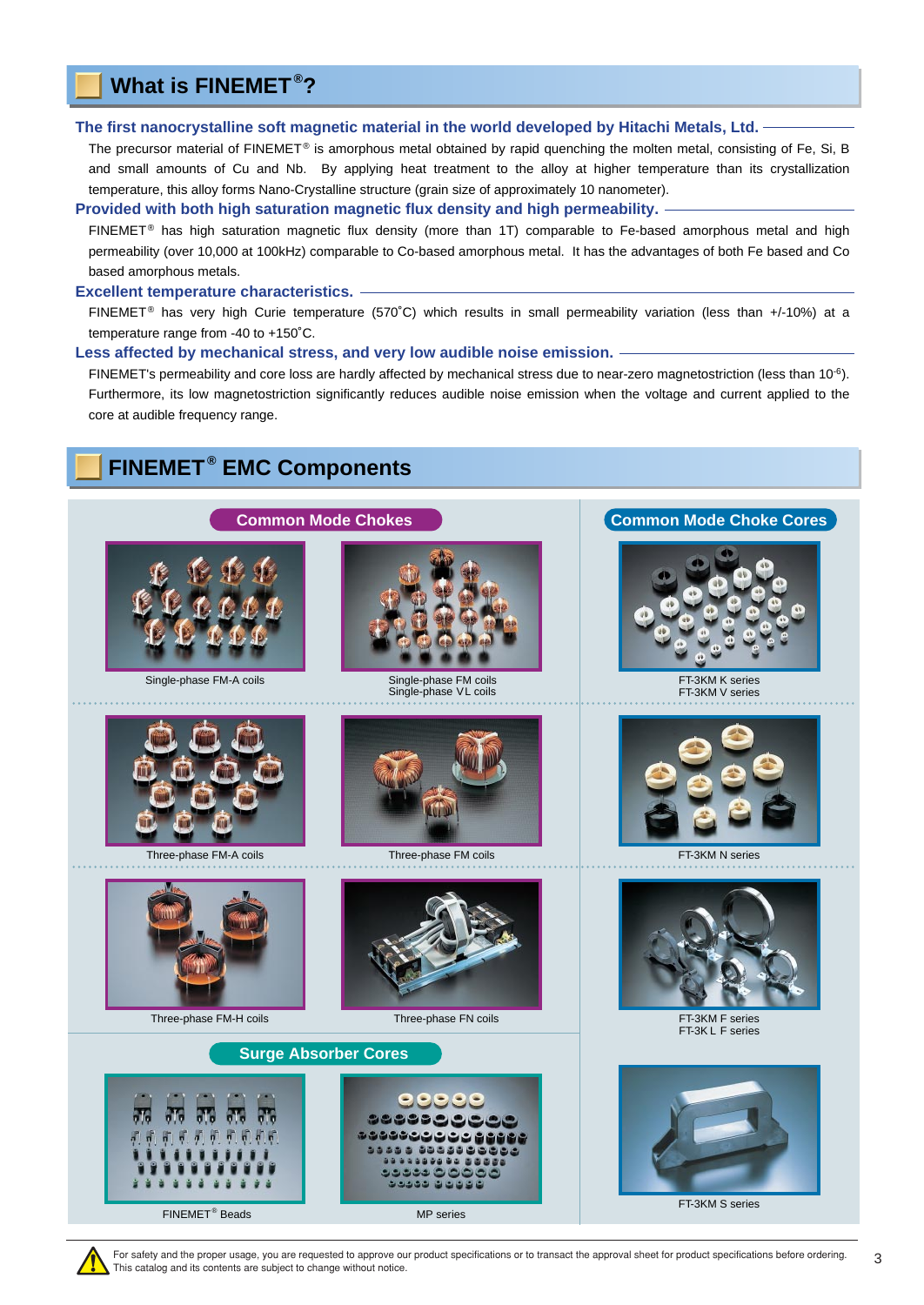### <span id="page-2-0"></span>**What is FINEMET ® ?**

#### **The first nanocrystalline soft magnetic material in the world developed by Hitachi Metals, Ltd.**

The precursor material of FINEMET<sup>®</sup> is amorphous metal obtained by rapid quenching the molten metal, consisting of Fe, Si, B and small amounts of Cu and Nb. By applying heat treatment to the alloy at higher temperature than its crystallization temperature, this alloy forms Nano-Crystalline structure (grain size of approximately 10 nanometer).

#### **Provided with both high saturation magnetic flux density and high permeability.**

 $FINEMET<sup>®</sup>$  has high saturation magnetic flux density (more than 1T) comparable to Fe-based amorphous metal and high permeability (over 10,000 at 100kHz) comparable to Co-based amorphous metal. It has the advantages of both Fe based and Co based amorphous metals.

#### **Excellent temperature characteristics.**

FINEMET<sup>®</sup> has very high Curie temperature (570°C) which results in small permeability variation (less than +/-10%) at a temperature range from -40 to +150˚C.

#### **Less affected by mechanical stress, and very low audible noise emission.**

FINEMET's permeability and core loss are hardly affected by mechanical stress due to near-zero magnetostriction (less than  $10^{-6}$ ). Furthermore, its low magnetostriction significantly reduces audible noise emission when the voltage and current applied to the core at audible frequency range.

**[Common Mode Chokes](#page-3-0) [Common Mode Choke Cores](#page-17-0)** 

### **FINEMET ® EMC Components**





[Single-phase VL coils](#page-9-0)







[FT-3KM K series](#page-19-0) [FT-3KM V series](#page-20-0)

[FT-3KM F series](#page-22-0) [FT-3K L F series](#page-24-0)







[Three-phase FM-H coils](#page-14-0) [Three-phase FN coils](#page-15-0)



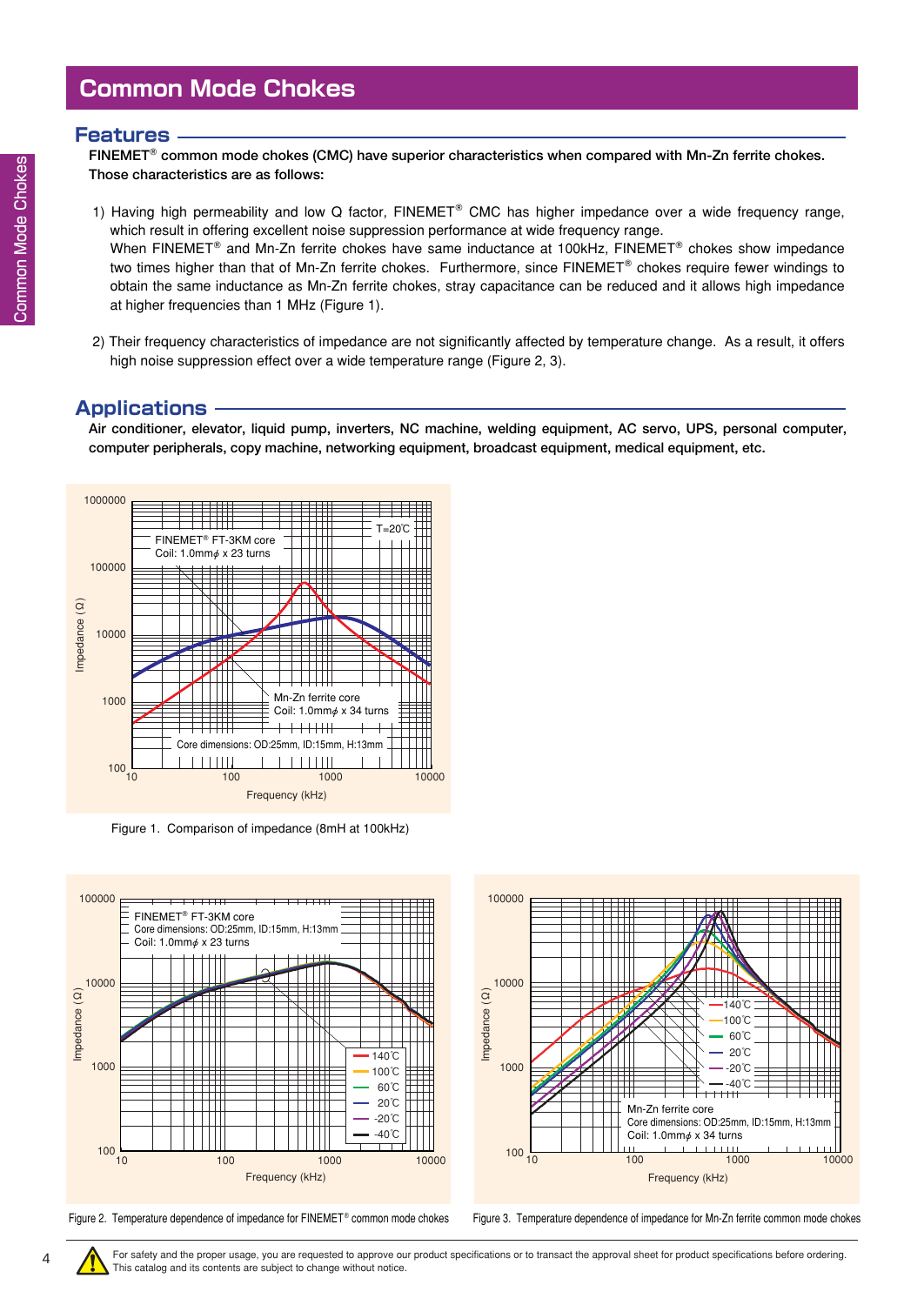### <span id="page-3-0"></span>**Common Mode Chokes**

#### **Features**

**FINEMET common mode chokes (CMC) have superior characteristics when compared with Mn-Zn ferrite chokes. Those characteristics are as follows:** 

- 1) Having high permeability and low Q factor,  $FINEMET^{\circ}$  CMC has higher impedance over a wide frequency range, which result in offering excellent noise suppression performance at wide frequency range. When FINEMET<sup>®</sup> and Mn-Zn ferrite chokes have same inductance at 100kHz, FINEMET<sup>®</sup> chokes show impedance two times higher than that of Mn-Zn ferrite chokes. Furthermore, since FINEMET® chokes require fewer windings to obtain the same inductance as Mn-Zn ferrite chokes, stray capacitance can be reduced and it allows high impedance at higher frequencies than 1 MHz (Figure 1).
- 2) Their frequency characteristics of impedance are not significantly affected by temperature change. As a result, it offers high noise suppression effect over a wide temperature range (Figure 2, 3).

### **Applications**

**Air conditioner, elevator, liquid pump, inverters, NC machine, welding equipment, AC servo, UPS, personal computer, computer peripherals, copy machine, networking equipment, broadcast equipment, medical equipment, etc.**



Figure 1. Comparison of impedance (8mH at 100kHz)





Figure 2. Temperature dependence of impedance for FINEMET<sup>®</sup> common mode chokes Figure 3. Temperature dependence of impedance for Mn-Zn ferrite common mode chokes

4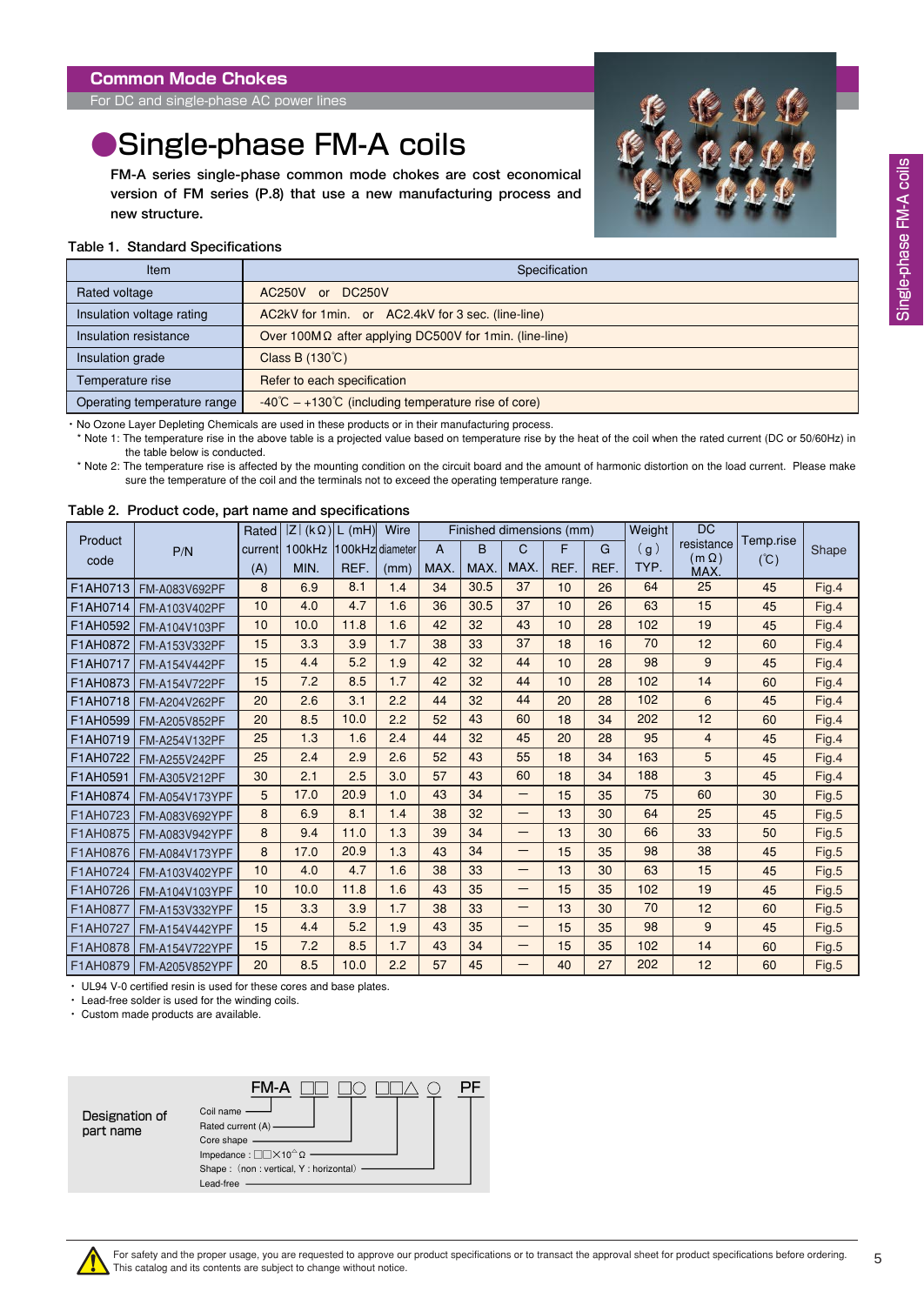<span id="page-4-0"></span>For DC and single-phase AC power lines

## **Single-phase FM-A coils**

**FM-A series single-phase common mode chokes are cost economical version of FM series (P.8) that use a new manufacturing process and new structure.**



#### **Table 1. Standard Specifications**

| Item                        | Specification                                                          |
|-----------------------------|------------------------------------------------------------------------|
| Rated voltage               | <b>DC250V</b><br>AC250V or                                             |
| Insulation voltage rating   | AC2kV for 1 min. or AC2.4kV for 3 sec. (line-line)                     |
| Insulation resistance       | Over 100M $\Omega$ after applying DC500V for 1min. (line-line)         |
| Insulation grade            | Class B (130℃)                                                         |
| Temperature rise            | Refer to each specification                                            |
| Operating temperature range | $-40^{\circ}$ C $-+130^{\circ}$ C (including temperature rise of core) |

・ No Ozone Layer Depleting Chemicals are used in these products or in their manufacturing process.

\* Note 1: The temperature rise in the above table is a projected value based on temperature rise by the heat of the coil when the rated current (DC or 50/60Hz) in the table below is conducted.

\* Note 2: The temperature rise is affected by the mounting condition on the circuit board and the amount of harmonic distortion on the load current. Please make sure the temperature of the coil and the terminals not to exceed the operating temperature range.

**Table 2. Product code, part name and specifications**

|          |                | Rated   | $ Z $ (k $\Omega$ )   L (mH) |                 | Wire |      |      | Finished dimensions (mm) |      |      | Weight | <b>DC</b>                  |               |       |
|----------|----------------|---------|------------------------------|-----------------|------|------|------|--------------------------|------|------|--------|----------------------------|---------------|-------|
| Product  | P/N            | current | 100kHz                       | 100kHz diameter |      | A    | B    | C                        | F    | G    | (g)    | resistance<br>$(m \Omega)$ | Temp.rise     | Shape |
| code     |                | (A)     | MIN.                         | REF.            | (mm) | MAX. | MAX. | MAX.                     | REF. | REF. | TYP.   | MAX.                       | $(\degree C)$ |       |
| F1AH0713 | FM-A083V692PF  | 8       | 6.9                          | 8.1             | 1.4  | 34   | 30.5 | 37                       | 10   | 26   | 64     | 25                         | 45            | Fig.4 |
| F1AH0714 | FM-A103V402PF  | 10      | 4.0                          | 4.7             | 1.6  | 36   | 30.5 | 37                       | 10   | 26   | 63     | 15                         | 45            | Fig.4 |
| F1AH0592 | FM-A104V103PF  | 10      | 10.0                         | 11.8            | 1.6  | 42   | 32   | 43                       | 10   | 28   | 102    | 19                         | 45            | Fig.4 |
| F1AH0872 | FM-A153V332PF  | 15      | 3.3                          | 3.9             | 1.7  | 38   | 33   | 37                       | 18   | 16   | 70     | 12                         | 60            | Fig.4 |
| F1AH0717 | FM-A154V442PF  | 15      | 4.4                          | 5.2             | 1.9  | 42   | 32   | 44                       | 10   | 28   | 98     | 9                          | 45            | Fig.4 |
| F1AH0873 | FM-A154V722PF  | 15      | 7.2                          | 8.5             | 1.7  | 42   | 32   | 44                       | 10   | 28   | 102    | 14                         | 60            | Fig.4 |
| F1AH0718 | FM-A204V262PF  | 20      | 2.6                          | 3.1             | 2.2  | 44   | 32   | 44                       | 20   | 28   | 102    | 6                          | 45            | Fig.4 |
| F1AH0599 | FM-A205V852PF  | 20      | 8.5                          | 10.0            | 2.2  | 52   | 43   | 60                       | 18   | 34   | 202    | 12                         | 60            | Fig.4 |
| F1AH0719 | FM-A254V132PF  | 25      | 1.3                          | 1.6             | 2.4  | 44   | 32   | 45                       | 20   | 28   | 95     | 4                          | 45            | Fig.4 |
| F1AH0722 | FM-A255V242PF  | 25      | 2.4                          | 2.9             | 2.6  | 52   | 43   | 55                       | 18   | 34   | 163    | 5                          | 45            | Fig.4 |
| F1AH0591 | FM-A305V212PF  | 30      | 2.1                          | 2.5             | 3.0  | 57   | 43   | 60                       | 18   | 34   | 188    | 3                          | 45            | Fig.4 |
| F1AH0874 | FM-A054V173YPF | 5       | 17.0                         | 20.9            | 1.0  | 43   | 34   | —                        | 15   | 35   | 75     | 60                         | 30            | Fig.5 |
| F1AH0723 | FM-A083V692YPF | 8       | 6.9                          | 8.1             | 1.4  | 38   | 32   | —                        | 13   | 30   | 64     | 25                         | 45            | Fig.5 |
| F1AH0875 | FM-A083V942YPF | 8       | 9.4                          | 11.0            | 1.3  | 39   | 34   | —                        | 13   | 30   | 66     | 33                         | 50            | Fig.5 |
| F1AH0876 | FM-A084V173YPF | 8       | 17.0                         | 20.9            | 1.3  | 43   | 34   | —                        | 15   | 35   | 98     | 38                         | 45            | Fig.5 |
| F1AH0724 | FM-A103V402YPF | 10      | 4.0                          | 4.7             | 1.6  | 38   | 33   | —                        | 13   | 30   | 63     | 15                         | 45            | Fig.5 |
| F1AH0726 | FM-A104V103YPF | 10      | 10.0                         | 11.8            | 1.6  | 43   | 35   | —                        | 15   | 35   | 102    | 19                         | 45            | Fig.5 |
| F1AH0877 | FM-A153V332YPF | 15      | 3.3                          | 3.9             | 1.7  | 38   | 33   | —                        | 13   | 30   | 70     | 12                         | 60            | Fig.5 |
| F1AH0727 | FM-A154V442YPF | 15      | 4.4                          | 5.2             | 1.9  | 43   | 35   | —                        | 15   | 35   | 98     | 9                          | 45            | Fig.5 |
| F1AH0878 | FM-A154V722YPF | 15      | 7.2                          | 8.5             | 1.7  | 43   | 34   | $\overline{\phantom{0}}$ | 15   | 35   | 102    | 14                         | 60            | Fig.5 |
| F1AH0879 | FM-A205V852YPF | 20      | 8.5                          | 10.0            | 2.2  | 57   | 45   | —                        | 40   | 27   | 202    | 12                         | 60            | Fig.5 |

・ UL94 V-0 certified resin is used for these cores and base plates.

・ Lead-free solder is used for the winding coils.

・ Custom made products are available.

|                             | FM-A                                                                                                                                                   |  |
|-----------------------------|--------------------------------------------------------------------------------------------------------------------------------------------------------|--|
| Designation of<br>part name | Coil name<br>Rated current (A) —<br>Core shape -<br>Impedance: $\square \square \times 10^{\triangle} \Omega$<br>Shape: (non: vertical, Y: horizontal) |  |
|                             | Lead-free                                                                                                                                              |  |

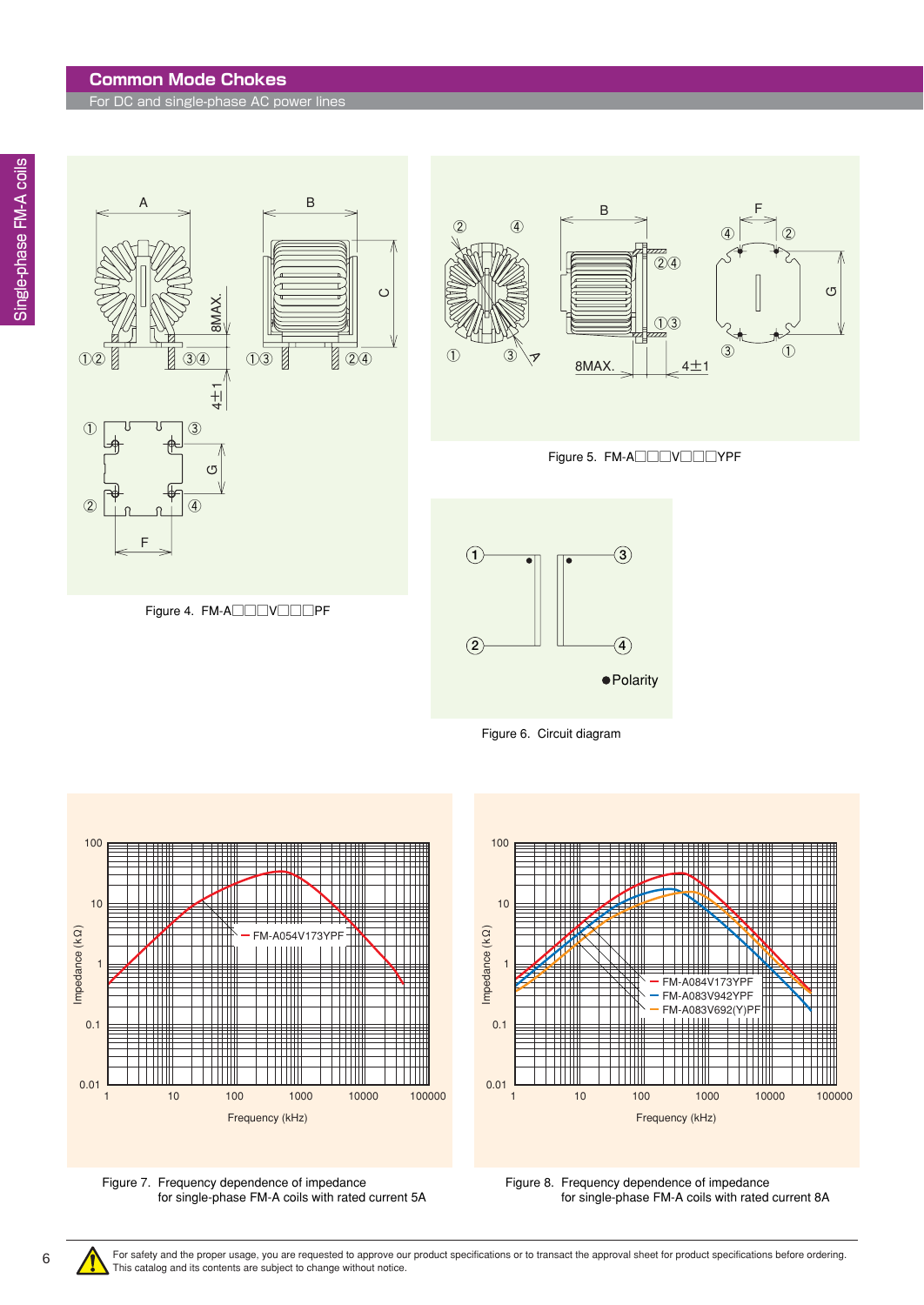#### **Common Mode Chokes**

For DC and single-phase AC power lines













Figure 7. Frequency dependence of impedance for single-phase FM-A coils with rated current 5A



Figure 8. Frequency dependence of impedance for single-phase FM-A coils with rated current 8A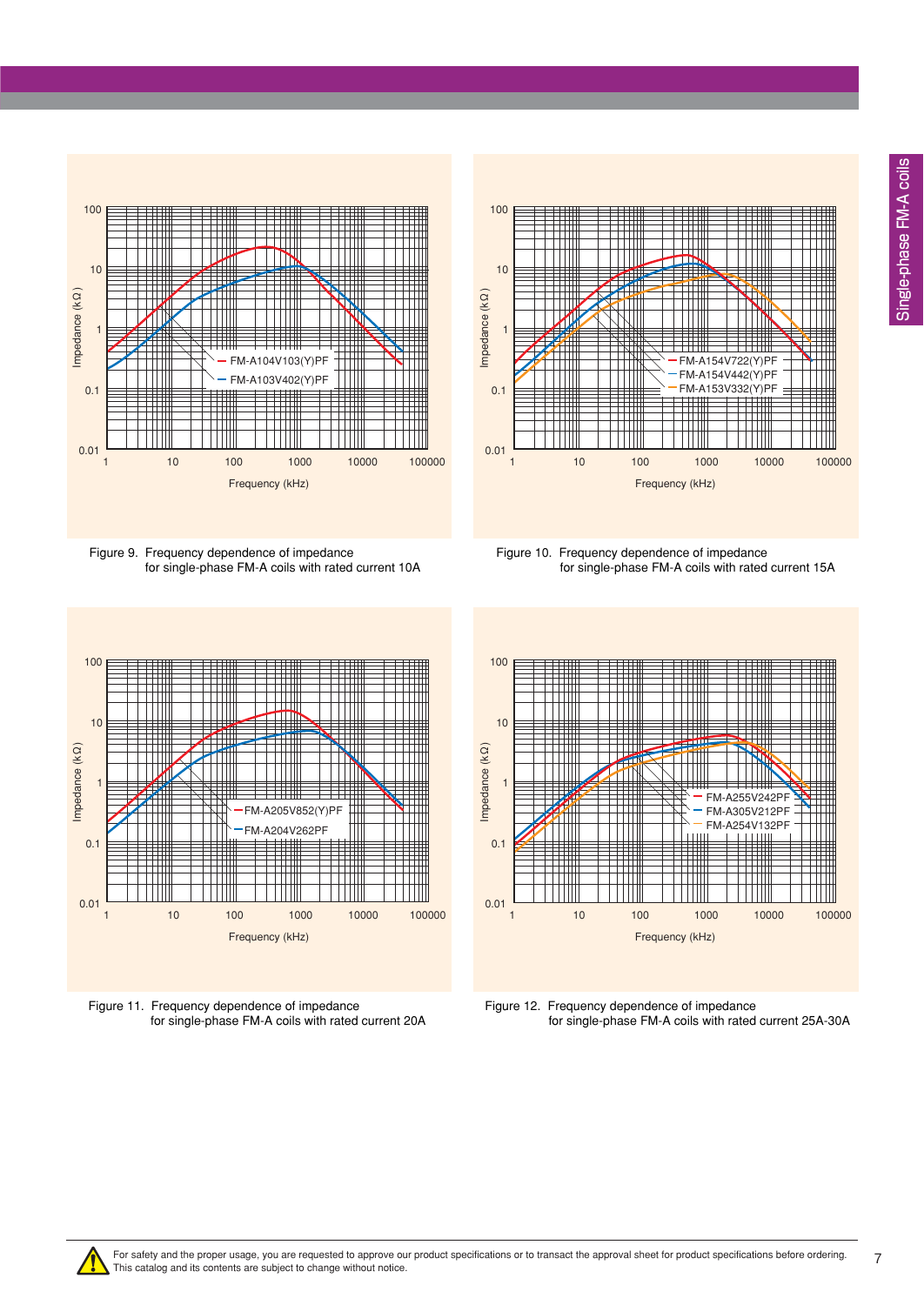Single-phase FM-A coils Single-phase FM-A coils



Figure 9. Frequency dependence of impedance for single-phase FM-A coils with rated current 10A



Figure 10. Frequency dependence of impedance for single-phase FM-A coils with rated current 15A



Figure 11. Frequency dependence of impedance for single-phase FM-A coils with rated current 20A



Figure 12. Frequency dependence of impedance for single-phase FM-A coils with rated current 25A-30A

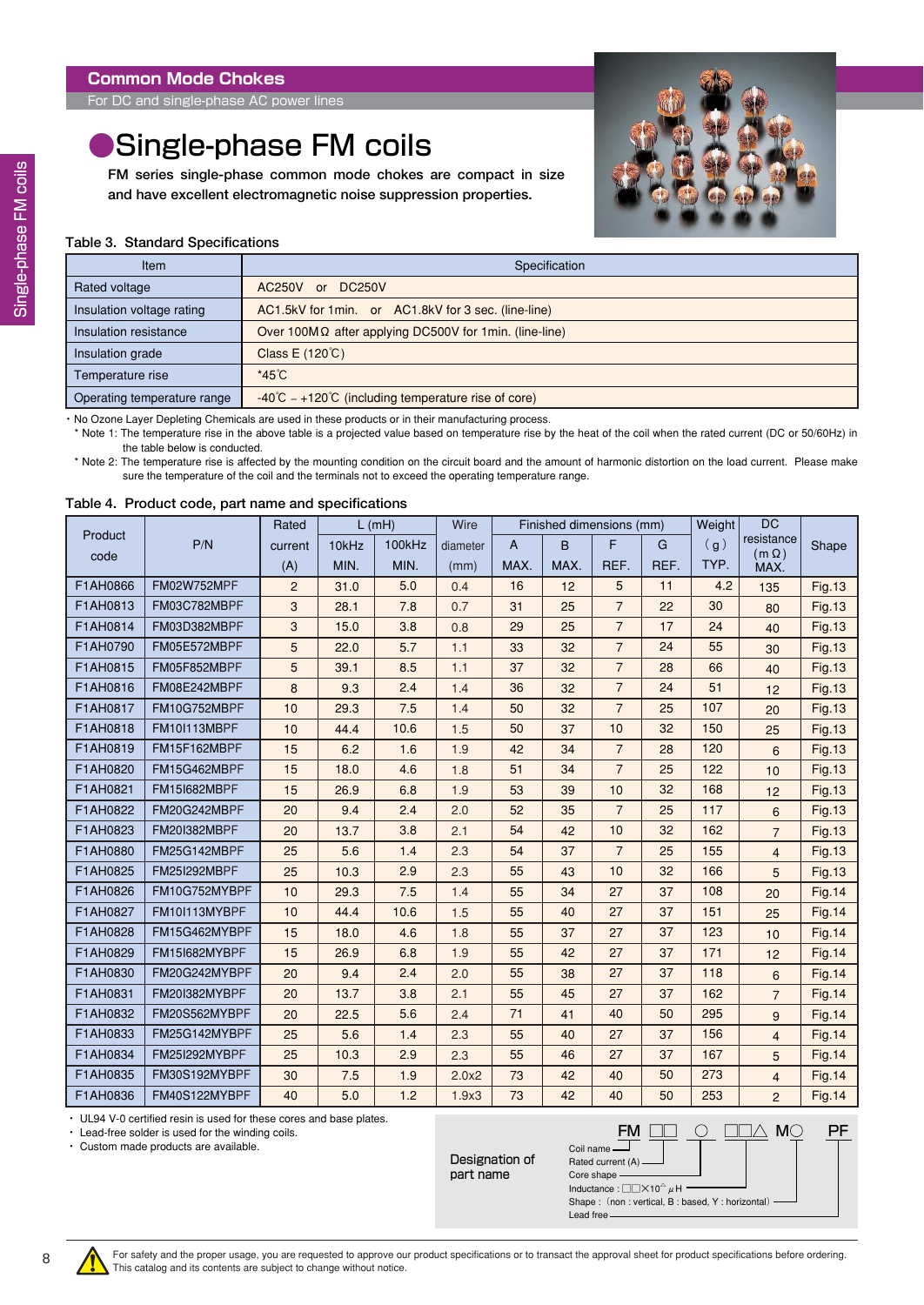### <span id="page-7-0"></span>●Single-phase FM coils

**FM series single-phase common mode chokes are compact in size and have excellent electromagnetic noise suppression properties.**



#### **Table 3. Standard Specifications**

| Item                        | Specification                                                        |
|-----------------------------|----------------------------------------------------------------------|
| Rated voltage               | AC250V or DC250V                                                     |
| Insulation voltage rating   | AC1.5kV for 1min. or AC1.8kV for 3 sec. (line-line)                  |
| Insulation resistance       | Over 100M $\Omega$ after applying DC500V for 1min. (line-line)       |
| Insulation grade            | Class E (120°C)                                                      |
| Temperature rise            | $*45^{\circ}$ C                                                      |
| Operating temperature range | $-40^{\circ}$ C $-+120^{\circ}$ (including temperature rise of core) |

・ No Ozone Layer Depleting Chemicals are used in these products or in their manufacturing process.

\* Note 1: The temperature rise in the above table is a projected value based on temperature rise by the heat of the coil when the rated current (DC or 50/60Hz) in the table below is conducted.

\* Note 2: The temperature rise is affected by the mounting condition on the circuit board and the amount of harmonic distortion on the load current. Please make sure the temperature of the coil and the terminals not to exceed the operating temperature range.

#### **Table 4. Product code, part name and specifications**

|          |                     | Rated          |       | $L$ (mH) | Wire     |      | Finished dimensions (mm) |                |      | Weight | <b>DC</b>                  |               |
|----------|---------------------|----------------|-------|----------|----------|------|--------------------------|----------------|------|--------|----------------------------|---------------|
| Product  | P/N                 | current        | 10kHz | 100kHz   | diameter | A    | B                        | F              | G    | (g)    | resistance<br>$(m \Omega)$ | Shape         |
| code     |                     | (A)            | MIN.  | MIN.     | (mm)     | MAX. | MAX.                     | REF.           | REF. | TYP.   | MAX.                       |               |
| F1AH0866 | FM02W752MPF         | $\overline{2}$ | 31.0  | 5.0      | 0.4      | 16   | 12                       | 5              | 11   | 4.2    | 135                        | <b>Fig.13</b> |
| F1AH0813 | FM03C782MBPF        | 3              | 28.1  | 7.8      | 0.7      | 31   | 25                       | $\overline{7}$ | 22   | 30     | 80                         | <b>Fig.13</b> |
| F1AH0814 | FM03D382MBPF        | 3              | 15.0  | 3.8      | 0.8      | 29   | 25                       | $\overline{7}$ | 17   | 24     | 40                         | <b>Fig.13</b> |
| F1AH0790 | FM05E572MBPF        | 5              | 22.0  | 5.7      | 1.1      | 33   | 32                       | $\overline{7}$ | 24   | 55     | 30                         | <b>Fig.13</b> |
| F1AH0815 | FM05F852MBPF        | 5              | 39.1  | 8.5      | 1.1      | 37   | 32                       | $\overline{7}$ | 28   | 66     | 40                         | <b>Fig.13</b> |
| F1AH0816 | FM08E242MBPF        | 8              | 9.3   | 2.4      | 1.4      | 36   | 32                       | $\overline{7}$ | 24   | 51     | 12                         | <b>Fig.13</b> |
| F1AH0817 | FM10G752MBPF        | 10             | 29.3  | 7.5      | 1.4      | 50   | 32                       | $\overline{7}$ | 25   | 107    | 20                         | <b>Fig.13</b> |
| F1AH0818 | FM10I113MBPF        | 10             | 44.4  | 10.6     | 1.5      | 50   | 37                       | 10             | 32   | 150    | 25                         | <b>Fig.13</b> |
| F1AH0819 | FM15F162MBPF        | 15             | 6.2   | 1.6      | 1.9      | 42   | 34                       | $\overline{7}$ | 28   | 120    | 6                          | <b>Fig.13</b> |
| F1AH0820 | FM15G462MBPF        | 15             | 18.0  | 4.6      | 1.8      | 51   | 34                       | $\overline{7}$ | 25   | 122    | 10                         | <b>Fig.13</b> |
| F1AH0821 | <b>FM15I682MBPF</b> | 15             | 26.9  | 6.8      | 1.9      | 53   | 39                       | 10             | 32   | 168    | 12                         | <b>Fig.13</b> |
| F1AH0822 | FM20G242MBPF        | 20             | 9.4   | 2.4      | 2.0      | 52   | 35                       | $\overline{7}$ | 25   | 117    | 6                          | <b>Fig.13</b> |
| F1AH0823 | <b>FM20I382MBPF</b> | 20             | 13.7  | 3.8      | 2.1      | 54   | 42                       | 10             | 32   | 162    | $\overline{7}$             | <b>Fig.13</b> |
| F1AH0880 | FM25G142MBPF        | 25             | 5.6   | 1.4      | 2.3      | 54   | 37                       | $\overline{7}$ | 25   | 155    | $\overline{4}$             | <b>Fig.13</b> |
| F1AH0825 | <b>FM25I292MBPF</b> | 25             | 10.3  | 2.9      | 2.3      | 55   | 43                       | 10             | 32   | 166    | 5                          | <b>Fig.13</b> |
| F1AH0826 | FM10G752MYBPF       | 10             | 29.3  | 7.5      | 1.4      | 55   | 34                       | 27             | 37   | 108    | 20                         | <b>Fig.14</b> |
| F1AH0827 | FM10I113MYBPF       | 10             | 44.4  | 10.6     | 1.5      | 55   | 40                       | 27             | 37   | 151    | 25                         | <b>Fig.14</b> |
| F1AH0828 | FM15G462MYBPF       | 15             | 18.0  | 4.6      | 1.8      | 55   | 37                       | 27             | 37   | 123    | 10                         | <b>Fig.14</b> |
| F1AH0829 | FM15I682MYBPF       | 15             | 26.9  | 6.8      | 1.9      | 55   | 42                       | 27             | 37   | 171    | 12                         | <b>Fig.14</b> |
| F1AH0830 | FM20G242MYBPF       | 20             | 9.4   | 2.4      | 2.0      | 55   | 38                       | 27             | 37   | 118    | 6                          | Fig. 14       |
| F1AH0831 | FM20I382MYBPF       | 20             | 13.7  | 3.8      | 2.1      | 55   | 45                       | 27             | 37   | 162    | $\overline{7}$             | Fig. 14       |
| F1AH0832 | FM20S562MYBPF       | 20             | 22.5  | 5.6      | 2.4      | 71   | 41                       | 40             | 50   | 295    | 9                          | <b>Fig.14</b> |
| F1AH0833 | FM25G142MYBPF       | 25             | 5.6   | 1.4      | 2.3      | 55   | 40                       | 27             | 37   | 156    | $\overline{4}$             | <b>Fig.14</b> |
| F1AH0834 | FM25I292MYBPF       | 25             | 10.3  | 2.9      | 2.3      | 55   | 46                       | 27             | 37   | 167    | 5                          | <b>Fig.14</b> |
| F1AH0835 | FM30S192MYBPF       | 30             | 7.5   | 1.9      | 2.0x2    | 73   | 42                       | 40             | 50   | 273    | $\overline{4}$             | <b>Fig.14</b> |
| F1AH0836 | FM40S122MYBPF       | 40             | 5.0   | 1.2      | 1.9x3    | 73   | 42                       | 40             | 50   | 253    | $\overline{2}$             | <b>Fig.14</b> |

・ UL94 V-0 certified resin is used for these cores and base plates.

・ Lead-free solder is used for the winding coils.

・ Custom made products are available.

Designation of part name

 $\underline{\mathsf{FM}}$   $\underline{\square\square}$   $\underline{\bigcirc}$   $\underline{\square\square\triangle}$   $\underline{\mathsf{M}\odot}$ Rated current (A)

PF

Core shape Inductance : □□×10**△**μH

Coil name

Shape : (non : vertical, B : based, Y : horizontal) Lead free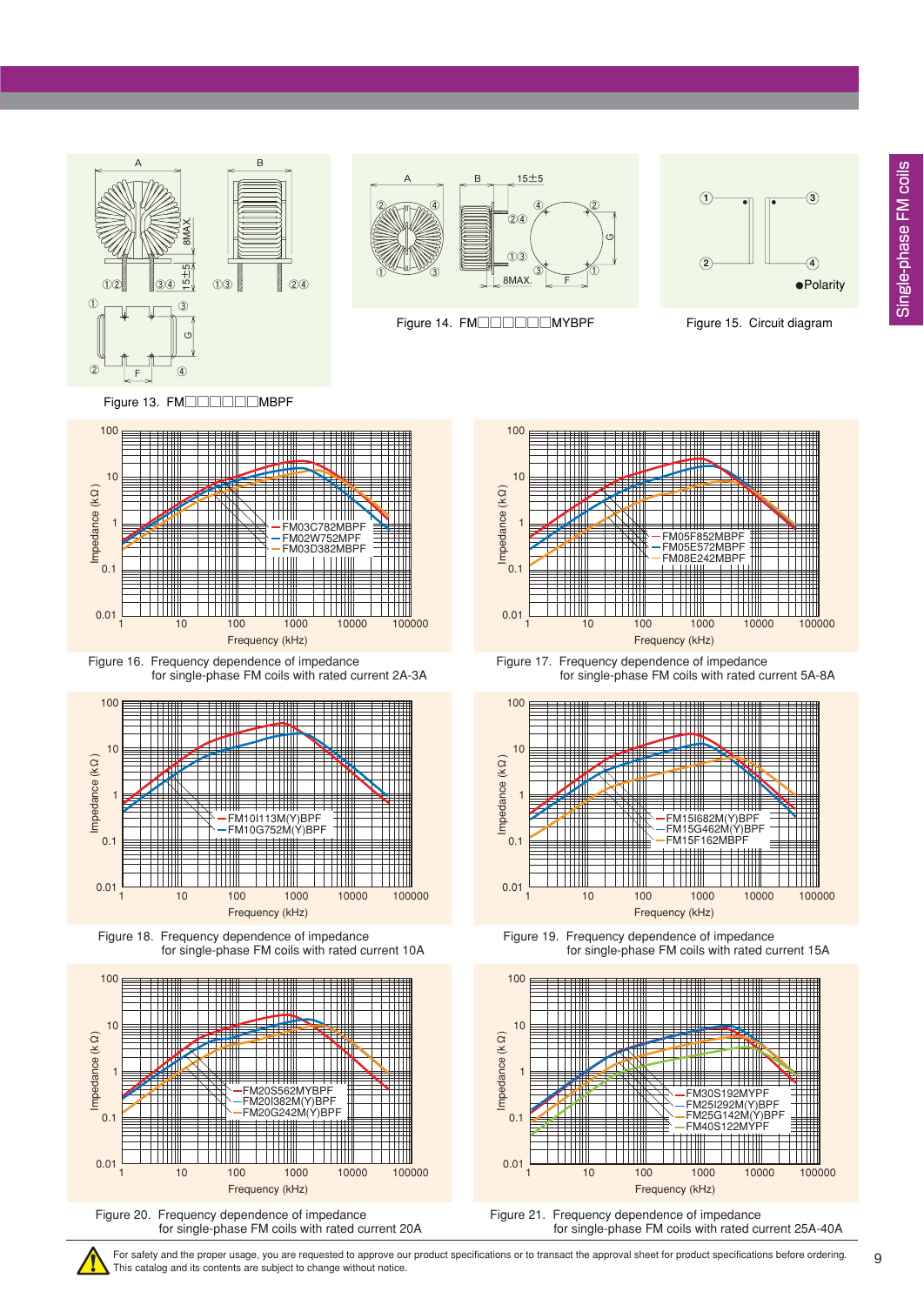



Figure 14. FM□□□□□□MYBPF Figure 15. Circuit diagram



Figure 13. FM□□□□□MBPF



Figure 16. Frequency dependence of impedance for single-phase FM coils with rated current 2A-3A







Figure 20. Frequency dependence of impedance for single-phase FM coils with rated current 20A



Figure 17. Frequency dependence of impedance for single-phase FM coils with rated current 5A-8A



Figure 19. Frequency dependence of impedance for single-phase FM coils with rated current 15A



Figure 21. Frequency dependence of impedance for single-phase FM coils with rated current 25A-40A

For safety and the proper usage, you are requested to approve our product specifications or to transact the approval sheet for product specifications before ordering. This catalog and its contents are subject to change without notice.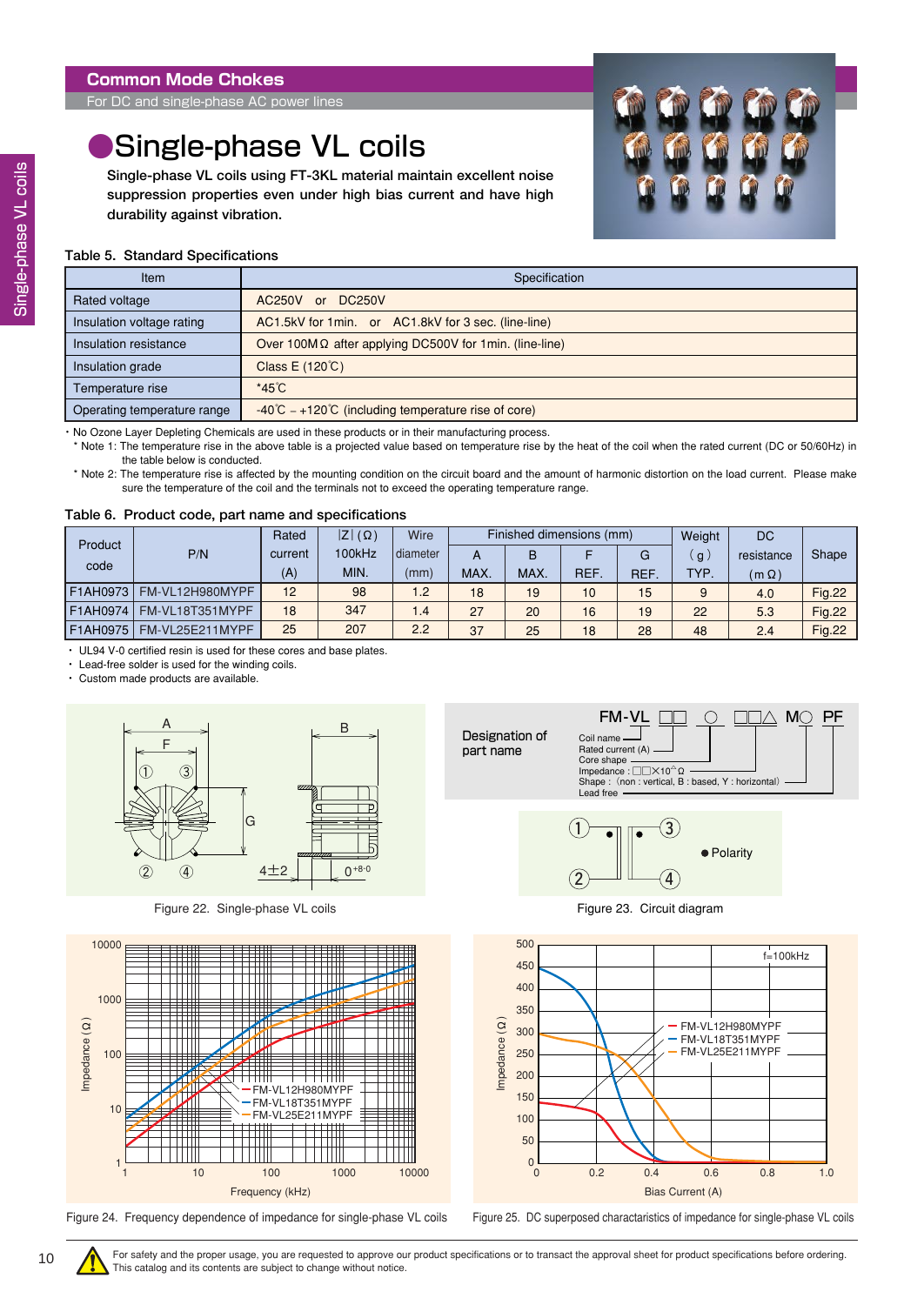<span id="page-9-0"></span>For DC and single-phase AC power lines

## Single-phase VL coils

**Single-phase VL coils using FT-3KL material maintain excellent noise suppression properties even under high bias current and have high durability against vibration.**



#### **Table 5. Standard Specifications**

| <b>Item</b>                 | Specification                                                          |
|-----------------------------|------------------------------------------------------------------------|
| Rated voltage               | AC250V or DC250V                                                       |
| Insulation voltage rating   | AC1.5kV for 1min. or AC1.8kV for 3 sec. (line-line)                    |
| Insulation resistance       | Over 100M $\Omega$ after applying DC500V for 1min. (line-line)         |
| Insulation grade            | Class E (120°C)                                                        |
| Temperature rise            | $*45^{\circ}$ C                                                        |
| Operating temperature range | $-40^{\circ}$ C $-+120^{\circ}$ C (including temperature rise of core) |

・ No Ozone Layer Depleting Chemicals are used in these products or in their manufacturing process.

\* Note 1: The temperature rise in the above table is a projected value based on temperature rise by the heat of the coil when the rated current (DC or 50/60Hz) in the table below is conducted.

\* Note 2: The temperature rise is affected by the mounting condition on the circuit board and the amount of harmonic distortion on the load current. Please make sure the temperature of the coil and the terminals not to exceed the operating temperature range.

#### **Table 6. Product code, part name and specifications**

| Product<br>code |                 | Rated   | $ Z (\Omega)$ | Wire            |      | Finished dimensions (mm) |            | Weight     | DC               |              |               |
|-----------------|-----------------|---------|---------------|-----------------|------|--------------------------|------------|------------|------------------|--------------|---------------|
|                 | P/N             | current | 100kHz        | diameter        | A    | B                        |            | G          | $\mathfrak{g}$ . | resistance   | Shape         |
|                 |                 | (A)     | MIN.          | (mm)            | MAX. | MAX.                     | <b>REF</b> | <b>REF</b> | TYP.             | $(m \Omega)$ |               |
| F1AH0973        | FM-VL12H980MYPF | 12      | 98            | 1.2             | 18   | 19                       | 10         | 15         | 9                | 4.0          | <b>Fig.22</b> |
| F1AH0974        | FM-VL18T351MYPF | 18      | 347           | $\overline{.4}$ | 27   | 20                       | 16         | 19         | 22               | 5.3          | <b>Fig.22</b> |
| F1AH0975        | FM-VL25E211MYPF | 25      | 207           | 2.2             | 37   | 25                       | 18         | 28         | 48               | 2.4          | <b>Fig.22</b> |

・ UL94 V-0 certified resin is used for these cores and base plates.

・ Lead-free solder is used for the winding coils.

Custom made products are available.



Figure 22. Single-phase VL coils









Figure 23. Circuit diagram



Figure 24. Frequency dependence of impedance for single-phase VL coils Figure 25. DC superposed charactaristics of impedance for single-phase VL coils

For safety and the proper usage, you are requested to approve our product specifications or to transact the approval sheet for product specifications before ordering. This catalog and its contents are subject to change without notice.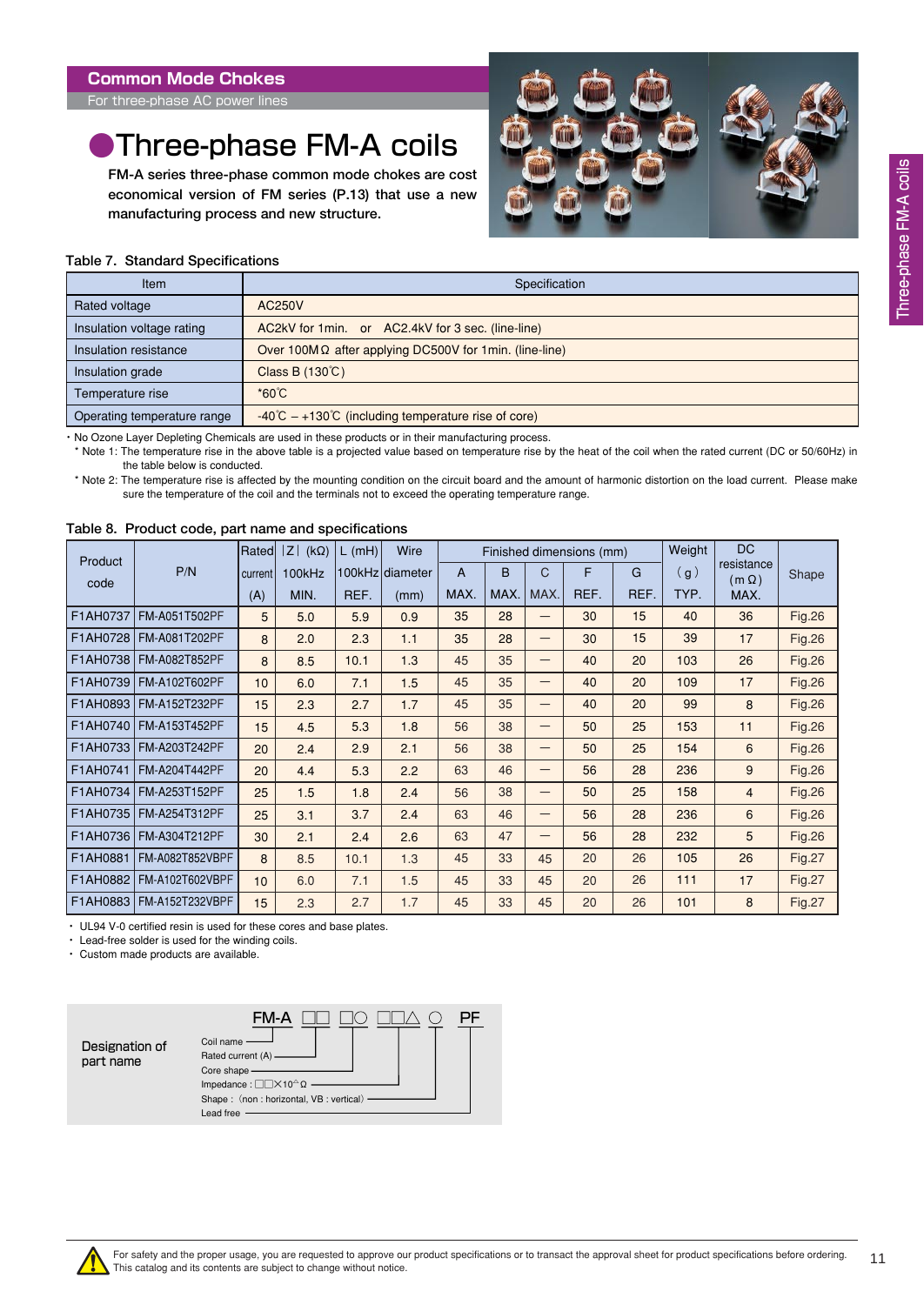<span id="page-10-0"></span>For three-phase AC power lines

## **•Three-phase FM-A coils**

**FM-A series three-phase common mode chokes are cost economical version of FM series (P.13) that use a new manufacturing process and new structure.**



#### **Table 7. Standard Specifications**

| Item                        | Specification                                                          |
|-----------------------------|------------------------------------------------------------------------|
| Rated voltage               | AC250V                                                                 |
| Insulation voltage rating   | AC2kV for 1min. or AC2.4kV for 3 sec. (line-line)                      |
| Insulation resistance       | Over 100MΩ after applying DC500V for 1min. (line-line)                 |
| Insulation grade            | Class B $(130^{\circ}C)$                                               |
| Temperature rise            | $^*60^{\circ}C$                                                        |
| Operating temperature range | $-40^{\circ}$ C $-+130^{\circ}$ C (including temperature rise of core) |

・ No Ozone Layer Depleting Chemicals are used in these products or in their manufacturing process.

\* Note 1: The temperature rise in the above table is a projected value based on temperature rise by the heat of the coil when the rated current (DC or 50/60Hz) in the table below is conducted.

\* Note 2: The temperature rise is affected by the mounting condition on the circuit board and the amount of harmonic distortion on the load current. Please make sure the temperature of the coil and the terminals not to exceed the operating temperature range.

| Product  |                          | Rated   | Z <br>$(k\Omega)$ | $L$ (mH) | Wire            |      |      |              | Finished dimensions (mm) |      | Weight | <b>DC</b>                  |               |
|----------|--------------------------|---------|-------------------|----------|-----------------|------|------|--------------|--------------------------|------|--------|----------------------------|---------------|
| code     | P/N                      | current | 100kHz            |          | 100kHz diameter | A    | B    | $\mathsf{C}$ | F                        | G    | (g)    | resistance<br>$(m \Omega)$ | Shape         |
|          |                          | (A)     | MIN.              | REF.     | (mm)            | MAX. | MAX. | MAX.         | REF.                     | REF. | TYP.   | MAX.                       |               |
| F1AH0737 | FM-A051T502PF            | 5       | 5.0               | 5.9      | 0.9             | 35   | 28   |              | 30                       | 15   | 40     | 36                         | Fig.26        |
| F1AH0728 | FM-A081T202PF            | 8       | 2.0               | 2.3      | 1.1             | 35   | 28   | —            | 30                       | 15   | 39     | 17                         | <b>Fig.26</b> |
|          | F1AH0738   FM-A082T852PF | 8       | 8.5               | 10.1     | 1.3             | 45   | 35   | -            | 40                       | 20   | 103    | 26                         | <b>Fig.26</b> |
| F1AH0739 | FM-A102T602PF            | 10      | 6.0               | 7.1      | 1.5             | 45   | 35   | —            | 40                       | 20   | 109    | 17                         | <b>Fig.26</b> |
|          | F1AH0893   FM-A152T232PF | 15      | 2.3               | 2.7      | 1.7             | 45   | 35   | —            | 40                       | 20   | 99     | 8                          | Fig.26        |
|          | F1AH0740   FM-A153T452PF | 15      | 4.5               | 5.3      | 1.8             | 56   | 38   | —            | 50                       | 25   | 153    | 11                         | <b>Fig.26</b> |
|          | F1AH0733   FM-A203T242PF | 20      | 2.4               | 2.9      | 2.1             | 56   | 38   | —            | 50                       | 25   | 154    | 6                          | <b>Fig.26</b> |
| F1AH0741 | FM-A204T442PF            | 20      | 4.4               | 5.3      | 2.2             | 63   | 46   | –            | 56                       | 28   | 236    | 9                          | <b>Fig.26</b> |
| F1AH0734 | <b>FM-A253T152PF</b>     | 25      | 1.5               | 1.8      | 2.4             | 56   | 38   | —            | 50                       | 25   | 158    | 4                          | <b>Fig.26</b> |
|          | F1AH0735   FM-A254T312PF | 25      | 3.1               | 3.7      | 2.4             | 63   | 46   | —            | 56                       | 28   | 236    | 6                          | <b>Fig.26</b> |
|          | F1AH0736   FM-A304T212PF | 30      | 2.1               | 2.4      | 2.6             | 63   | 47   | –            | 56                       | 28   | 232    | 5                          | <b>Fig.26</b> |
| F1AH0881 | FM-A082T852VBPF          | 8       | 8.5               | 10.1     | 1.3             | 45   | 33   | 45           | 20                       | 26   | 105    | 26                         | <b>Fig.27</b> |
|          | F1AH0882 FM-A102T602VBPF | 10      | 6.0               | 7.1      | 1.5             | 45   | 33   | 45           | 20                       | 26   | 111    | 17                         | Fig.27        |
|          | F1AH0883 FM-A152T232VBPF | 15      | 2.3               | 2.7      | 1.7             | 45   | 33   | 45           | 20                       | 26   | 101    | 8                          | <b>Fig.27</b> |

#### **Table 8. Product code, part name and specifications**

・ UL94 V-0 certified resin is used for these cores and base plates.

・ Lead-free solder is used for the winding coils.

・ Custom made products are available.



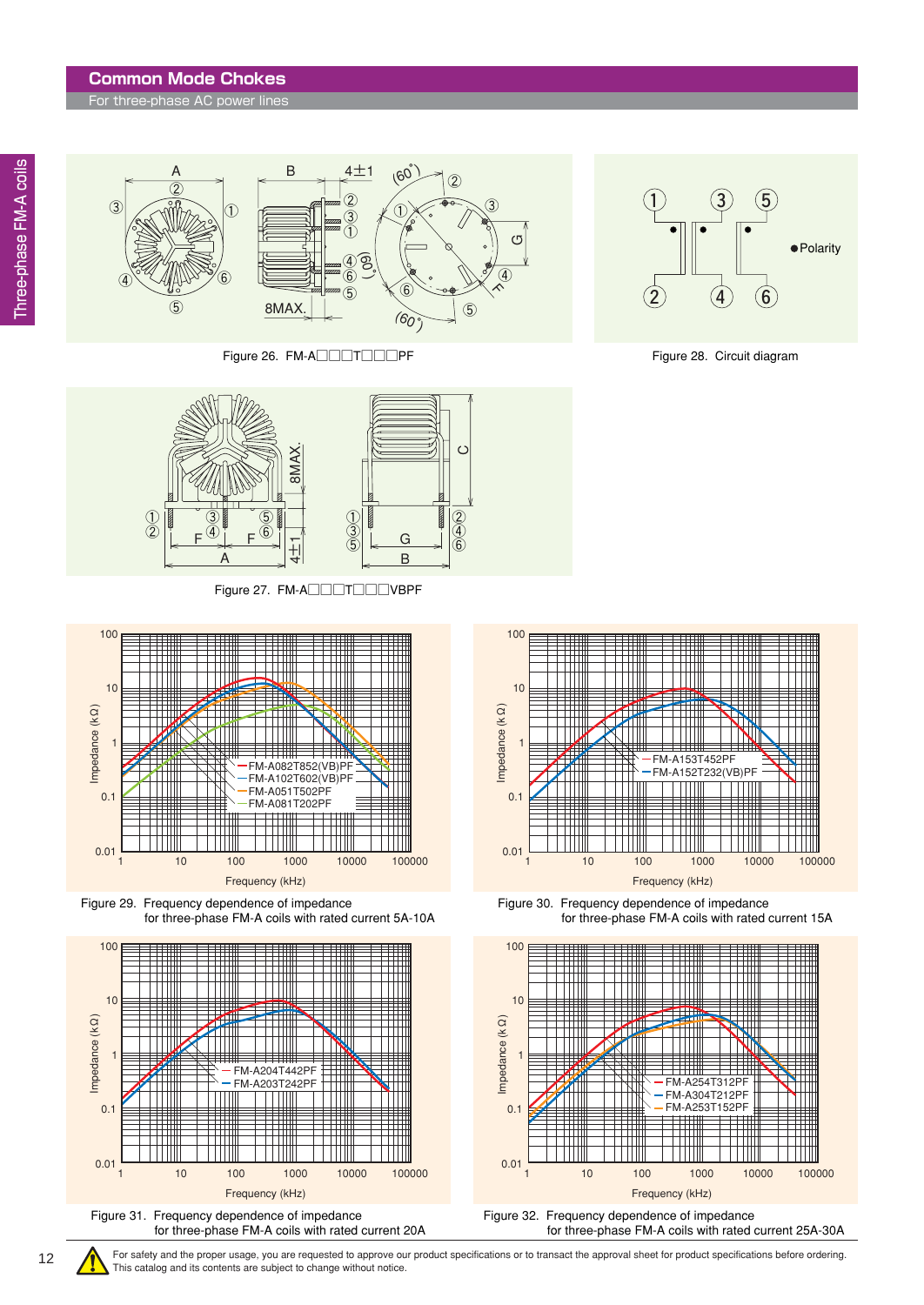#### **Common Mode Chokes**

For three-phase AC power lines

③



Figure 26. FM-A□□□T□□PF Figure 28. Circuit diagram







Figure 29. Frequency dependence of impedance for three-phase FM-A coils with rated current 5A-10A





12





Figure 30. Frequency dependence of impedance for three-phase FM-A coils with rated current 15A



Figure 32. Frequency dependence of impedance for three-phase FM-A coils with rated current 25A-30A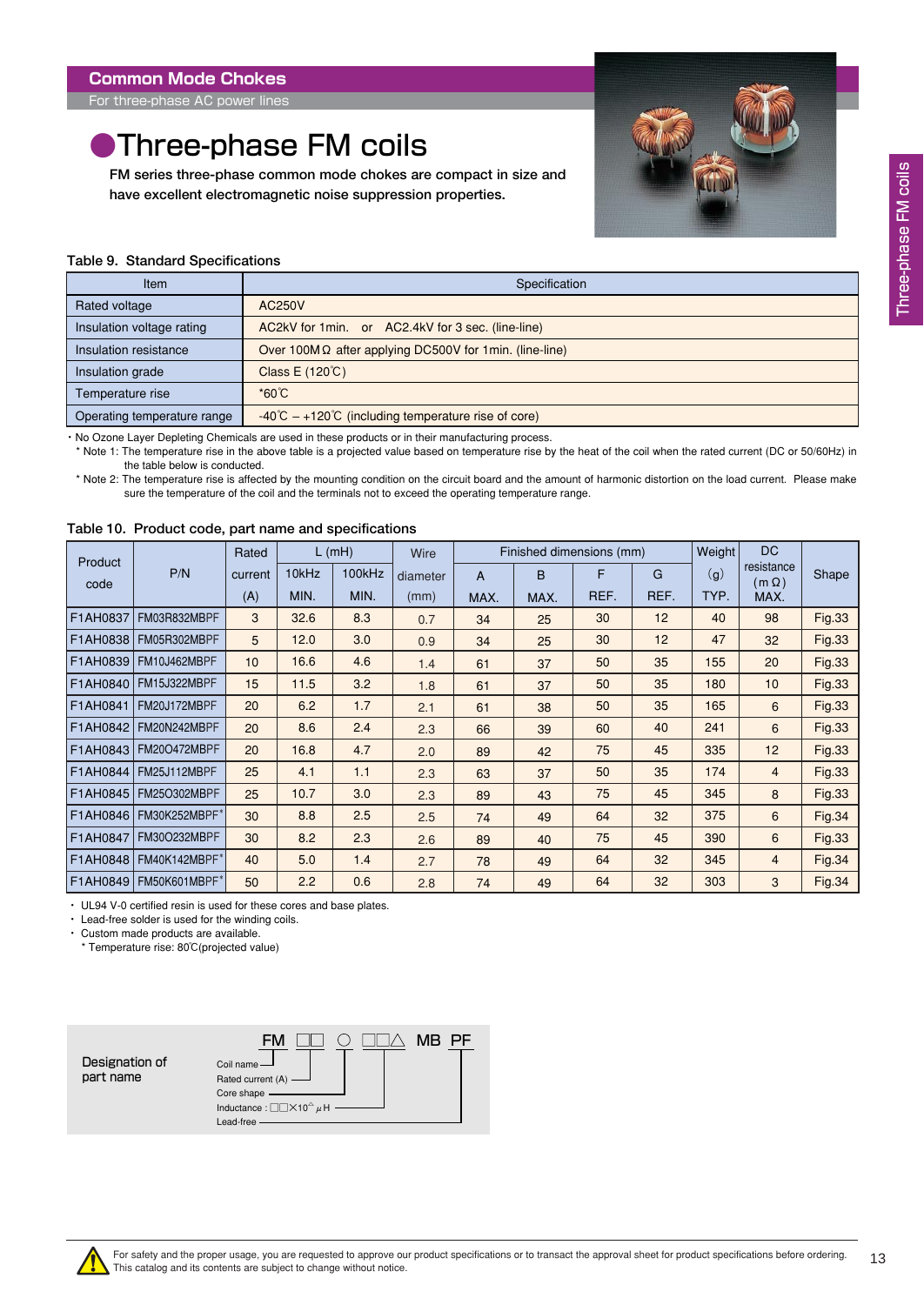<span id="page-12-0"></span>For three-phase AC power lines

### **•Three-phase FM coils**

**FM series three-phase common mode chokes are compact in size and have excellent electromagnetic noise suppression properties.**



#### **Table 9. Standard Specifications**

| Item                        | Specification                                                          |
|-----------------------------|------------------------------------------------------------------------|
| Rated voltage               | AC250V                                                                 |
| Insulation voltage rating   | AC2kV for 1 min. or AC2.4kV for 3 sec. (line-line)                     |
| Insulation resistance       | Over 100M $\Omega$ after applying DC500V for 1min. (line-line)         |
| Insulation grade            | Class E (120°C)                                                        |
| Temperature rise            | $^*60^{\circ}C$                                                        |
| Operating temperature range | $-40^{\circ}$ C $-+120^{\circ}$ C (including temperature rise of core) |

・ No Ozone Layer Depleting Chemicals are used in these products or in their manufacturing process.

\* Note 1: The temperature rise in the above table is a projected value based on temperature rise by the heat of the coil when the rated current (DC or 50/60Hz) in the table below is conducted.

\* Note 2: The temperature rise is affected by the mounting condition on the circuit board and the amount of harmonic distortion on the load current. Please make sure the temperature of the coil and the terminals not to exceed the operating temperature range.

| Product  |                          | Rated   |       | $L$ (mH) | Wire     |      |      | Finished dimensions (mm) |      | Weight | <b>DC</b>                  |               |
|----------|--------------------------|---------|-------|----------|----------|------|------|--------------------------|------|--------|----------------------------|---------------|
| code     | P/N                      | current | 10kHz | 100kHz   | diameter | A    | B    | F                        | G    | (g)    | resistance<br>$(m \Omega)$ | Shape         |
|          |                          | (A)     | MIN.  | MIN.     | (mm)     | MAX. | MAX. | REF.                     | REF. | TYP.   | MAX.                       |               |
| F1AH0837 | FM03R832MBPF             | 3       | 32.6  | 8.3      | 0.7      | 34   | 25   | 30                       | 12   | 40     | 98                         | <b>Fig.33</b> |
| F1AH0838 | FM05R302MBPF             | 5       | 12.0  | 3.0      | 0.9      | 34   | 25   | 30                       | 12   | 47     | 32                         | <b>Fig.33</b> |
| F1AH0839 | FM10J462MBPF             | 10      | 16.6  | 4.6      | 1.4      | 61   | 37   | 50                       | 35   | 155    | 20                         | <b>Fig.33</b> |
| F1AH0840 | FM15J322MBPF             | 15      | 11.5  | 3.2      | 1.8      | 61   | 37   | 50                       | 35   | 180    | 10                         | <b>Fig.33</b> |
| F1AH0841 | FM20J172MBPF             | 20      | 6.2   | 1.7      | 2.1      | 61   | 38   | 50                       | 35   | 165    | 6                          | <b>Fig.33</b> |
| F1AH0842 | FM20N242MBPF             | 20      | 8.6   | 2.4      | 2.3      | 66   | 39   | 60                       | 40   | 241    | 6                          | <b>Fig.33</b> |
| F1AH0843 | <b>FM20O472MBPF</b>      | 20      | 16.8  | 4.7      | 2.0      | 89   | 42   | 75                       | 45   | 335    | 12                         | <b>Fig.33</b> |
| F1AH0844 | FM25J112MBPF             | 25      | 4.1   | 1.1      | 2.3      | 63   | 37   | 50                       | 35   | 174    | $\overline{4}$             | <b>Fig.33</b> |
| F1AH0845 | <b>FM25O302MBPF</b>      | 25      | 10.7  | 3.0      | 2.3      | 89   | 43   | 75                       | 45   | 345    | 8                          | <b>Fig.33</b> |
| F1AH0846 | FM30K252MBPF*            | 30      | 8.8   | 2.5      | 2.5      | 74   | 49   | 64                       | 32   | 375    | 6                          | <b>Fig.34</b> |
| F1AH0847 | <b>FM30O232MBPF</b>      | 30      | 8.2   | 2.3      | 2.6      | 89   | 40   | 75                       | 45   | 390    | 6                          | <b>Fig.33</b> |
| F1AH0848 | FM40K142MBPF*            | 40      | 5.0   | 1.4      | 2.7      | 78   | 49   | 64                       | 32   | 345    | $\overline{4}$             | <b>Fig.34</b> |
|          | F1AH0849   FM50K601MBPF* | 50      | 2.2   | 0.6      | 2.8      | 74   | 49   | 64                       | 32   | 303    | 3                          | <b>Fig.34</b> |

#### **Table 10. Product code, part name and specifications**

・ UL94 V-0 certified resin is used for these cores and base plates.

・ Lead-free solder is used for the winding coils.

・ Custom made products are available.

\* Temperature rise: 80℃(projected value)

|                | <b>MR</b><br>– EM                                                          |
|----------------|----------------------------------------------------------------------------|
| Designation of | Coil name-                                                                 |
| part name      | Rated current (A) -                                                        |
|                | Core shape -                                                               |
|                | Inductance : $\Box\Box\times$ 10 <sup><math>\triangle</math></sup> $\mu$ H |
|                | Lead-free                                                                  |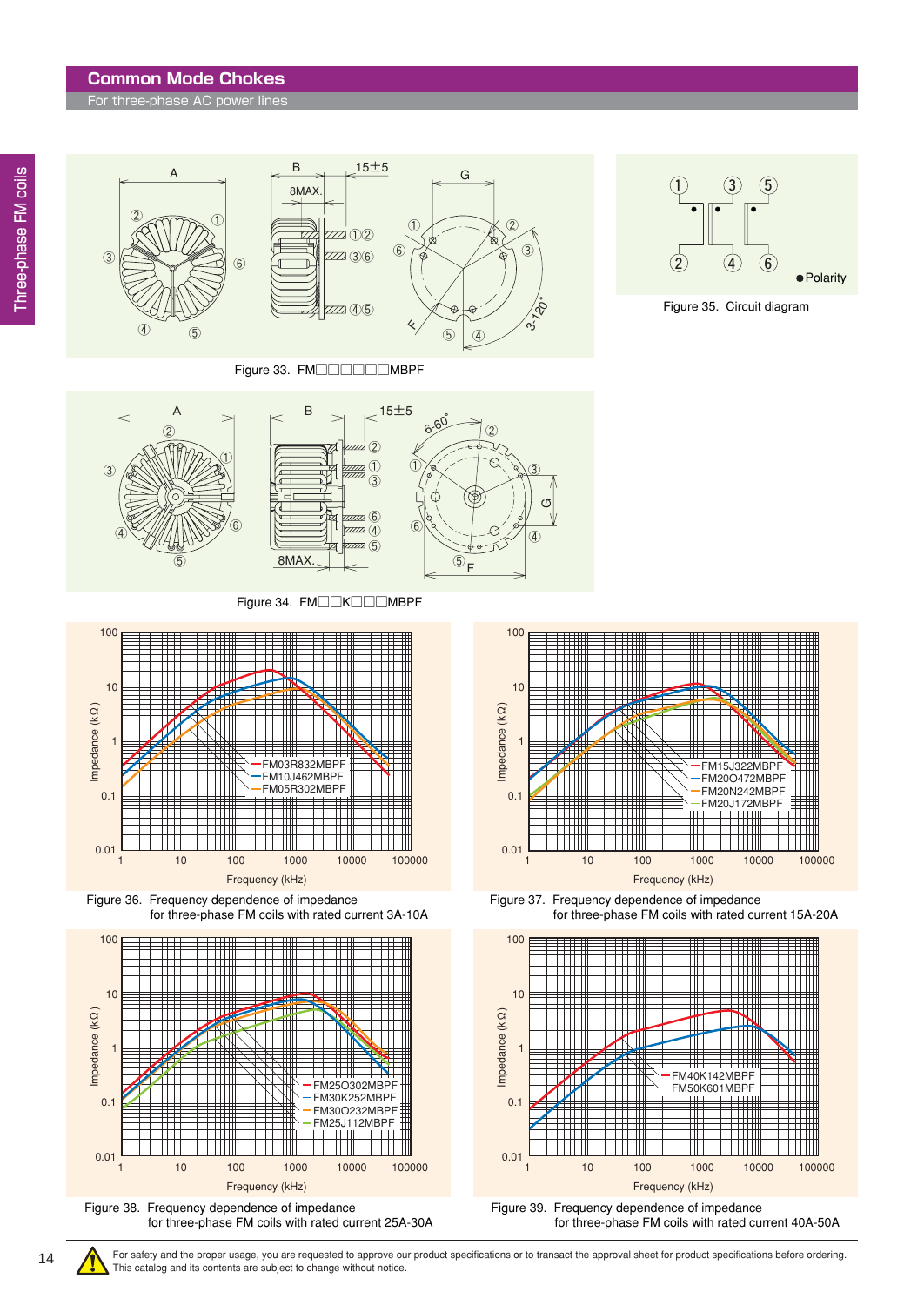#### **Common Mode Chokes**

For three-phase AC power lines



Figure 33. FM□□□□□MBPF



Figure 35. Circuit diagram



Figure 34. FM□□K□□MBPF



Figure 36. Frequency dependence of impedance for three-phase FM coils with rated current 3A-10A





Figure 37. Frequency dependence of impedance for three-phase FM coils with rated current 15A-20A



For safety and the proper usage, you are requested to approve our product specifications or to transact the approval sheet for product specifications before ordering. This catalog and its contents are subject to change without notice.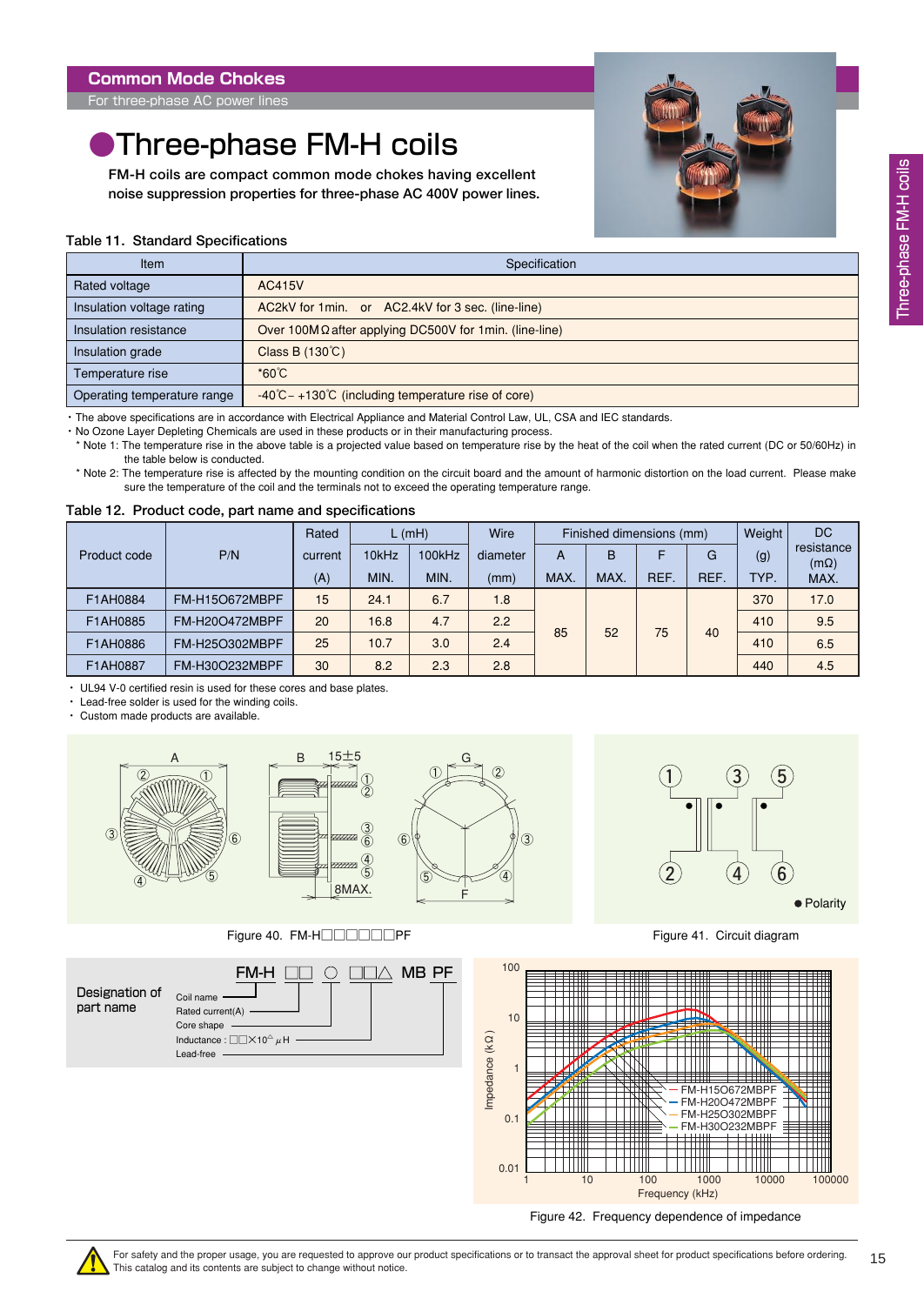<span id="page-14-0"></span>For three-phase AC power lines

## **Three-phase FM-H coils**

**FM-H coils are compact common mode chokes having excellent noise suppression properties for three-phase AC 400V power lines.**



#### **Table 11. Standard Specifications**

| <b>Item</b>                 | Specification                                                         |
|-----------------------------|-----------------------------------------------------------------------|
| Rated voltage               | AC415V                                                                |
| Insulation voltage rating   | AC2kV for 1 min. or AC2.4kV for 3 sec. (line-line)                    |
| Insulation resistance       | Over 100M $\Omega$ after applying DC500V for 1min. (line-line)        |
| Insulation grade            | Class B $(130^{\circ}C)$                                              |
| Temperature rise            | $^*60^{\circ}C$                                                       |
| Operating temperature range | $-40^{\circ}$ C – +130 $\circ$ C (including temperature rise of core) |

・ The above specifications are in accordance with Electrical Appliance and Material Control Law, UL, CSA and IEC standards.

・ No Ozone Layer Depleting Chemicals are used in these products or in their manufacturing process.

\* Note 1: The temperature rise in the above table is a projected value based on temperature rise by the heat of the coil when the rated current (DC or 50/60Hz) in the table below is conducted.

\* Note 2: The temperature rise is affected by the mounting condition on the circuit board and the amount of harmonic distortion on the load current. Please make sure the temperature of the coil and the terminals not to exceed the operating temperature range.

#### **Table 12. Product code, part name and specifications**

|              | Rated                 | L(mH)   |       | Wire   | Finished dimensions (mm) |      |      |      | Weight | <b>DC</b> |                           |
|--------------|-----------------------|---------|-------|--------|--------------------------|------|------|------|--------|-----------|---------------------------|
| Product code | P/N                   | current | 10kHz | 100kHz | diameter                 | A    | B    |      | G      | (g)       | resistance<br>$(m\Omega)$ |
|              |                       | (A)     | MIN.  | MIN.   | (mm)                     | MAX. | MAX. | REF. | REF.   | TYP.      | MAX.                      |
| F1AH0884     | <b>FM-H15O672MBPF</b> | 15      | 24.1  | 6.7    | 1.8                      |      |      |      |        | 370       | 17.0                      |
| F1AH0885     | <b>FM-H20O472MBPF</b> | 20      | 16.8  | 4.7    | 2.2                      | 85   | 52   | 75   | 40     | 410       | 9.5                       |
| F1AH0886     | FM-H25O302MBPF        | 25      | 10.7  | 3.0    | 2.4                      |      |      |      |        | 410       | 6.5                       |
| F1AH0887     | FM-H30O232MBPF        | 30      | 8.2   | 2.3    | 2.8                      |      |      |      |        | 440       | 4.5                       |

・ UL94 V-0 certified resin is used for these cores and base plates.

・ Lead-free solder is used for the winding coils.

・ Custom made products are available.



Figure 40. FM-H□□□□□PF Figure 41. Circuit diagram







Figure 42. Frequency dependence of impedance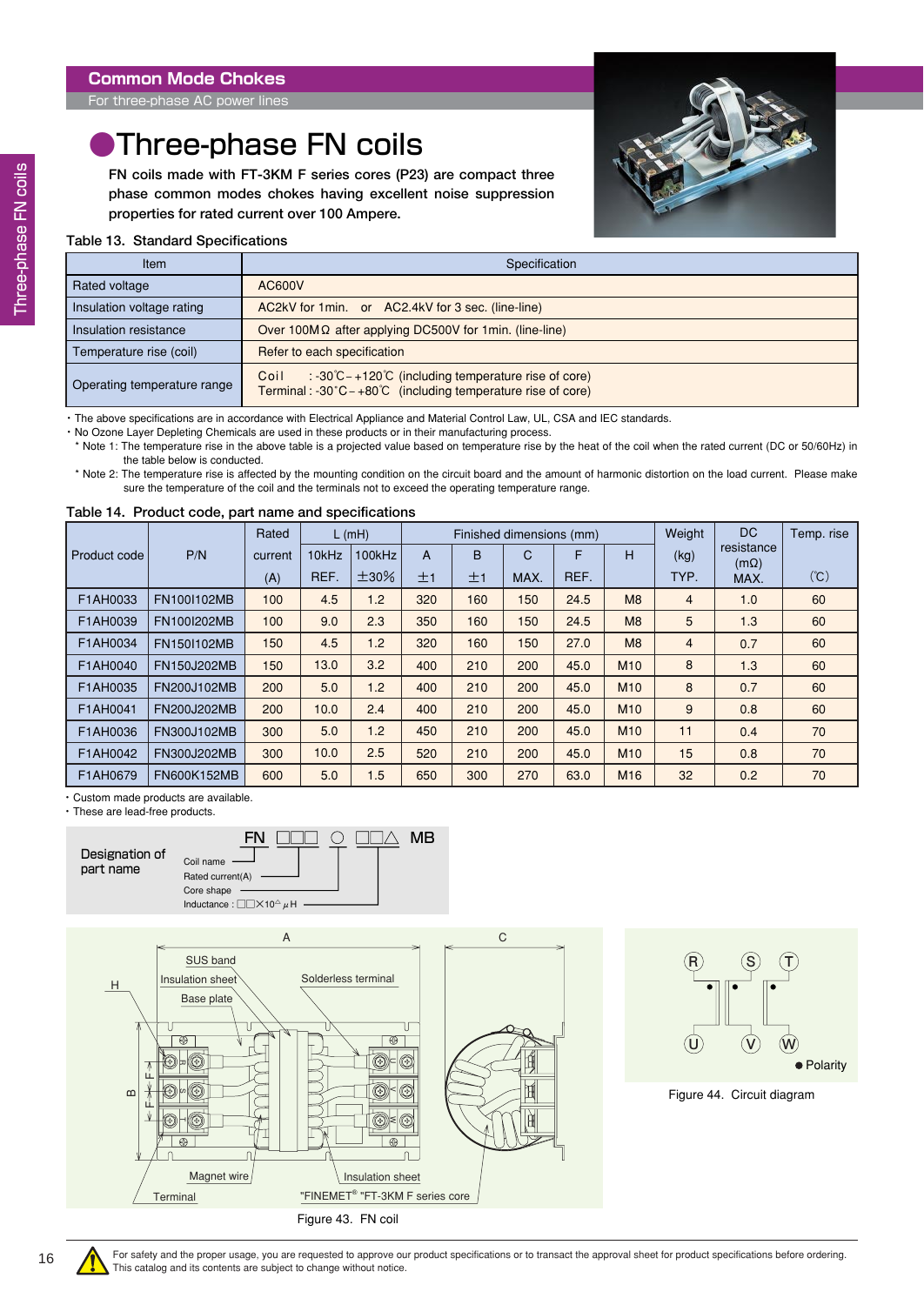### <span id="page-15-0"></span>**•Three-phase FN coils**

**FN coils made with FT-3KM F series cores (P23) are compact three phase common modes chokes having excellent noise suppression properties for rated current over 100 Ampere.**



#### **Table 13. Standard Specifications**

| <b>Item</b>                 | Specification                                                                                                                                                  |
|-----------------------------|----------------------------------------------------------------------------------------------------------------------------------------------------------------|
| Rated voltage               | AC600V                                                                                                                                                         |
| Insulation voltage rating   | AC2kV for 1 min. or AC2.4kV for 3 sec. (line-line)                                                                                                             |
| Insulation resistance       | Over 100M $\Omega$ after applying DC500V for 1min. (line-line)                                                                                                 |
| Temperature rise (coil)     | Refer to each specification                                                                                                                                    |
| Operating temperature range | $\therefore$ -30°C – +120°C (including temperature rise of core)<br>Coil<br>Terminal: -30 $^{\circ}$ C – +80 $^{\circ}$ C (including temperature rise of core) |

・ The above specifications are in accordance with Electrical Appliance and Material Control Law, UL, CSA and IEC standards.

・ No Ozone Layer Depleting Chemicals are used in these products or in their manufacturing process.

\* Note 1: The temperature rise in the above table is a projected value based on temperature rise by the heat of the coil when the rated current (DC or 50/60Hz) in the table below is conducted.

\* Note 2: The temperature rise is affected by the mounting condition on the circuit board and the amount of harmonic distortion on the load current. Please make sure the temperature of the coil and the terminals not to exceed the operating temperature range.

#### **Table 14. Product code, part name and specifications**

|              |                    | Rated   |       | $L$ (mH)   |     |     | Finished dimensions (mm) |      |                 | Weight         | DC.                       | Temp. rise |
|--------------|--------------------|---------|-------|------------|-----|-----|--------------------------|------|-----------------|----------------|---------------------------|------------|
| Product code | P/N                | current | 10kHz | 100kHz     | A   | B   | C                        | F    | H               | (kg)           | resistance<br>$(m\Omega)$ |            |
|              |                    | (A)     | REF.  | $\pm 30\%$ | ±1  | ±1  | MAX.                     | REF. |                 | TYP.           | MAX.                      | (C)        |
| F1AH0033     | FN100I102MB        | 100     | 4.5   | 1.2        | 320 | 160 | 150                      | 24.5 | M8              | $\overline{4}$ | 1.0                       | 60         |
| F1AH0039     | FN100I202MB        | 100     | 9.0   | 2.3        | 350 | 160 | 150                      | 24.5 | M8              | 5              | 1.3                       | 60         |
| F1AH0034     | FN150I102MB        | 150     | 4.5   | 1.2        | 320 | 160 | 150                      | 27.0 | M8              | $\overline{4}$ | 0.7                       | 60         |
| F1AH0040     | <b>FN150J202MB</b> | 150     | 13.0  | 3.2        | 400 | 210 | 200                      | 45.0 | M <sub>10</sub> | 8              | 1.3                       | 60         |
| F1AH0035     | FN200J102MB        | 200     | 5.0   | 1.2        | 400 | 210 | 200                      | 45.0 | M <sub>10</sub> | 8              | 0.7                       | 60         |
| F1AH0041     | FN200J202MB        | 200     | 10.0  | 2.4        | 400 | 210 | 200                      | 45.0 | M <sub>10</sub> | 9              | 0.8                       | 60         |
| F1AH0036     | FN300J102MB        | 300     | 5.0   | 1.2        | 450 | 210 | 200                      | 45.0 | M <sub>10</sub> | 11             | 0.4                       | 70         |
| F1AH0042     | FN300J202MB        | 300     | 10.0  | 2.5        | 520 | 210 | 200                      | 45.0 | M <sub>10</sub> | 15             | 0.8                       | 70         |
| F1AH0679     | FN600K152MB        | 600     | 5.0   | 1.5        | 650 | 300 | 270                      | 63.0 | M <sub>16</sub> | 32             | 0.2                       | 70         |

・ Custom made products are available.

・ These are lead-free products.







Figure 44. Circuit diagram

For safety and the proper usage, you are requested to approve our product specifications or to transact the approval sheet for product specifications before ordering. This catalog and its contents are subject to change without notice.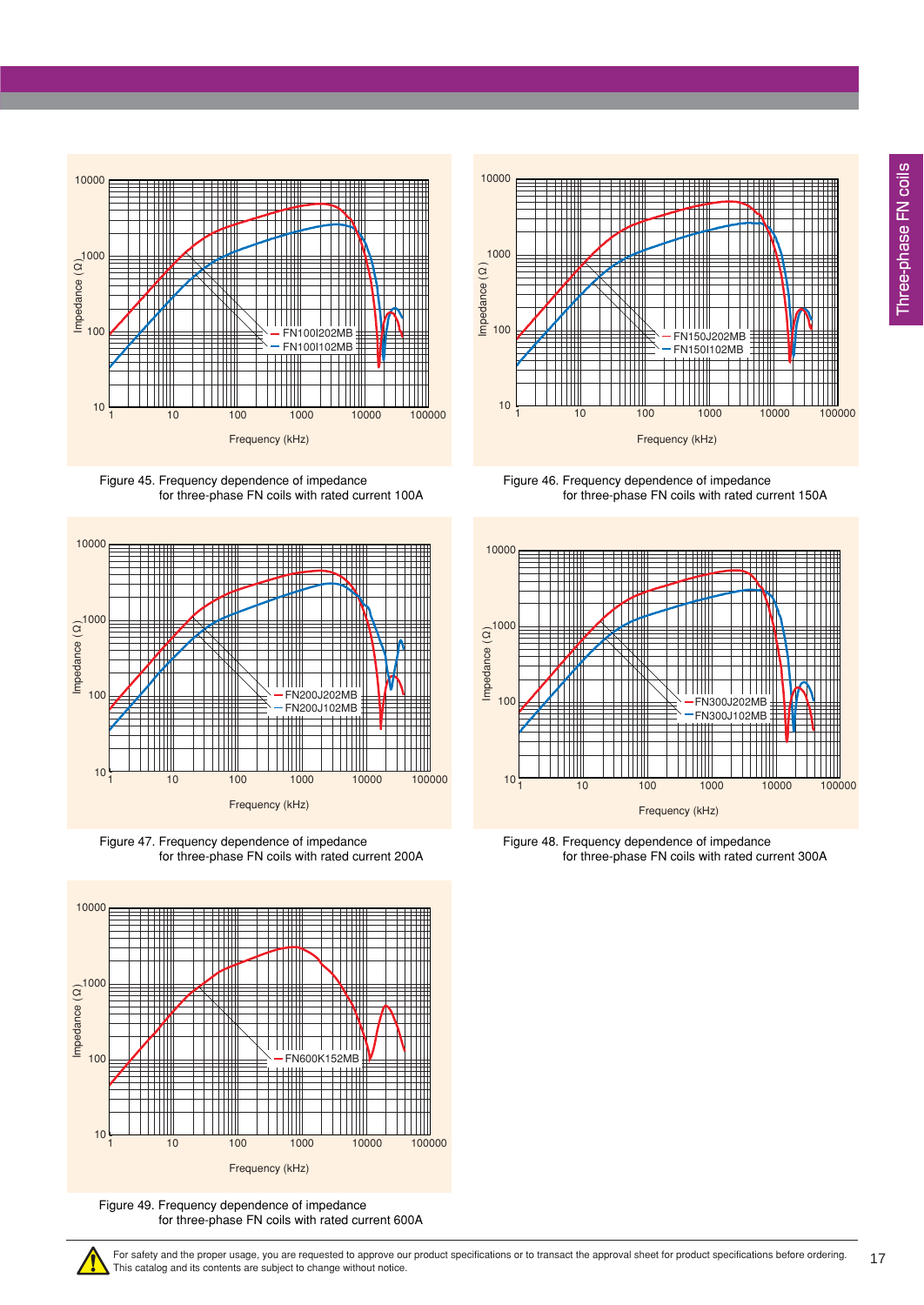









Figure 49. Frequency dependence of impedance for three-phase FN coils with rated current 600A



Figure 46. Frequency dependence of impedance for three-phase FN coils with rated current 150A



Figure 48. Frequency dependence of impedance for three-phase FN coils with rated current 300A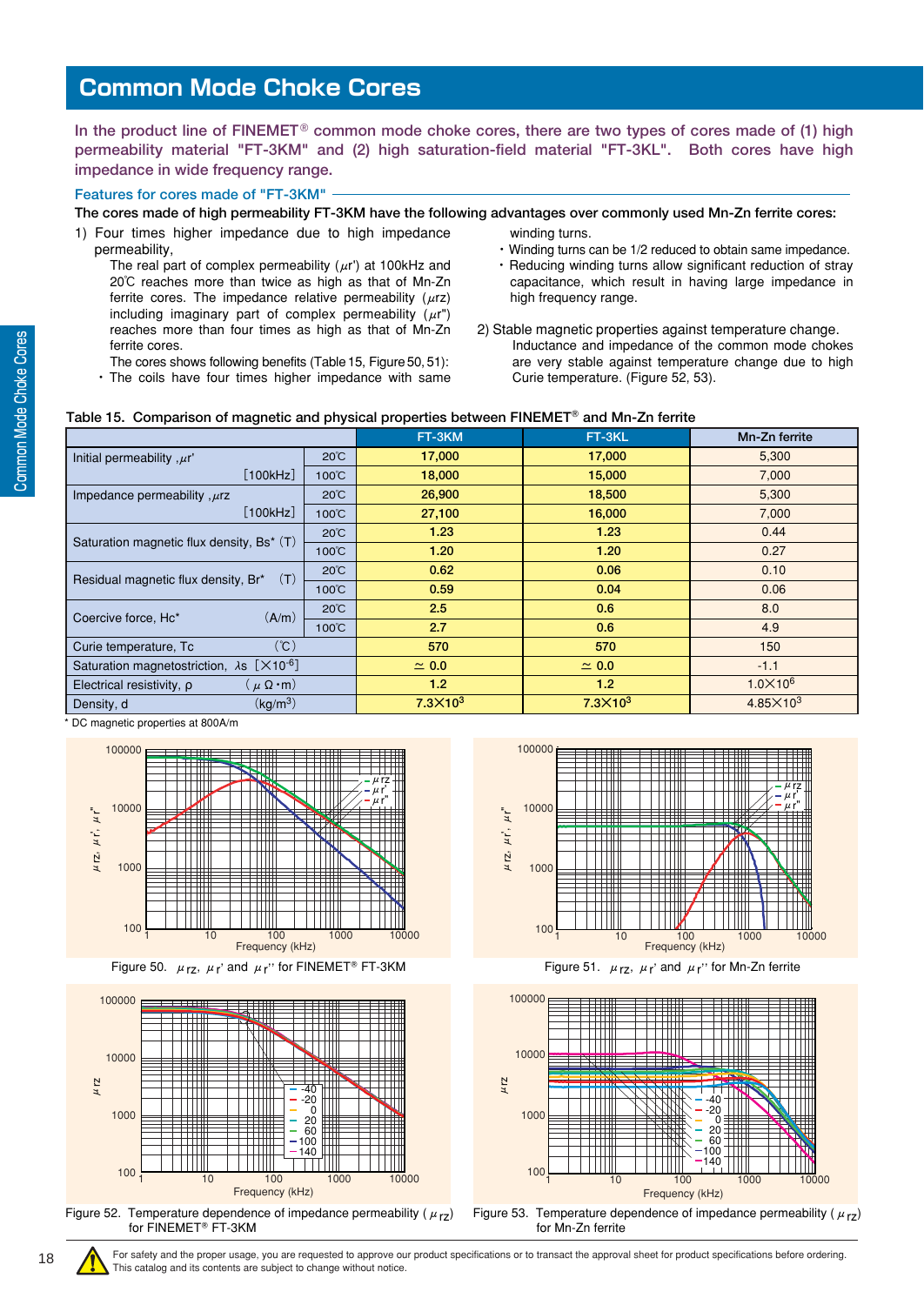<span id="page-17-0"></span>**In the product line of FINEMET**® **common mode choke cores, there are two types of cores made of (1) high permeability material "FT-3KM" and (2) high saturation-field material "FT-3KL". Both cores have high impedance in wide frequency range.**

#### **Features for cores made of "FT-3KM"**

**The cores made of high permeability FT-3KM have the following advantages over commonly used Mn-Zn ferrite cores:**

1) Four times higher impedance due to high impedance permeability,

The real part of complex permeability  $(\mu r)$  at 100kHz and 20℃ reaches more than twice as high as that of Mn-Zn ferrite cores. The impedance relative permeability  $(\mu rz)$ including imaginary part of complex permeability  $(\mu r")$ reaches more than four times as high as that of Mn-Zn ferrite cores.

- The cores shows following benefits (Table 15, Figure 50, 51): ・ The coils have four times higher impedance with same
- winding turns.
- ・Winding turns can be 1/2 reduced to obtain same impedance.
- ・ Reducing winding turns allow significant reduction of stray capacitance, which result in having large impedance in high frequency range.
- 2) Stable magnetic properties against temperature change. Inductance and impedance of the common mode chokes are very stable against temperature change due to high Curie temperature. (Figure 52, 53).

#### **Table 15. Comparison of magnetic and physical properties between FINEMET and Mn-Zn ferrite**

|                                                                        |                        | FT-3KM           | FT-3KL           | Mn-Zn ferrite      |
|------------------------------------------------------------------------|------------------------|------------------|------------------|--------------------|
| Initial permeability, $\mu r'$                                         | $20^{\circ}$ C         | 17,000           | 17,000           | 5,300              |
| [100kHz]                                                               | 100°C                  | 18,000           | 15,000           | 7,000              |
| Impedance permeability, $\mu$ rz                                       | $20^{\circ}$ C         | 26,900           | 18,500           | 5,300              |
| [100kHz]                                                               | $100^{\circ}$ C        | 27,100           | 16,000           | 7,000              |
| Saturation magnetic flux density, Bs* (T)                              | $20^{\circ}$ C         | 1.23             | 1.23             | 0.44               |
|                                                                        | $100^{\circ}$ C        | 1.20             | 1.20             | 0.27               |
| (T)<br>Residual magnetic flux density, Br*                             | $20^{\circ}$ C<br>0.62 |                  | 0.06             | 0.10               |
|                                                                        | $100^{\circ}$ C        | 0.59             | 0.04             | 0.06               |
| (A/m)<br>Coercive force, Hc*                                           | $20^{\circ}$ C         | 2.5              | 0.6              | 8.0                |
|                                                                        | $100^{\circ}$ C        | 2.7              | 0.6              | 4.9                |
| (C)<br>Curie temperature, Tc                                           |                        | 570              | 570              | 150                |
| Saturation magnetostriction, $\lambda$ s [ $\times$ 10 <sup>-6</sup> ] |                        | $\simeq 0.0$     | $\simeq 0.0$     | $-1.1$             |
| Electrical resistivity, $\rho$<br>$(\mu \Omega \cdot m)$               |                        | 1.2 <sub>2</sub> | 1.2 <sub>2</sub> | $1.0 \times 10^6$  |
| (kq/m <sup>3</sup> )<br>Density, d                                     |                        | $7.3\times10^3$  | $7.3\times10^3$  | $4.85\times10^{3}$ |

DC magnetic properties at 800A/m













Figure 53. Temperature dependence of impedance permeability ( $\mu_{rZ}$ ) for Mn-Zn ferrite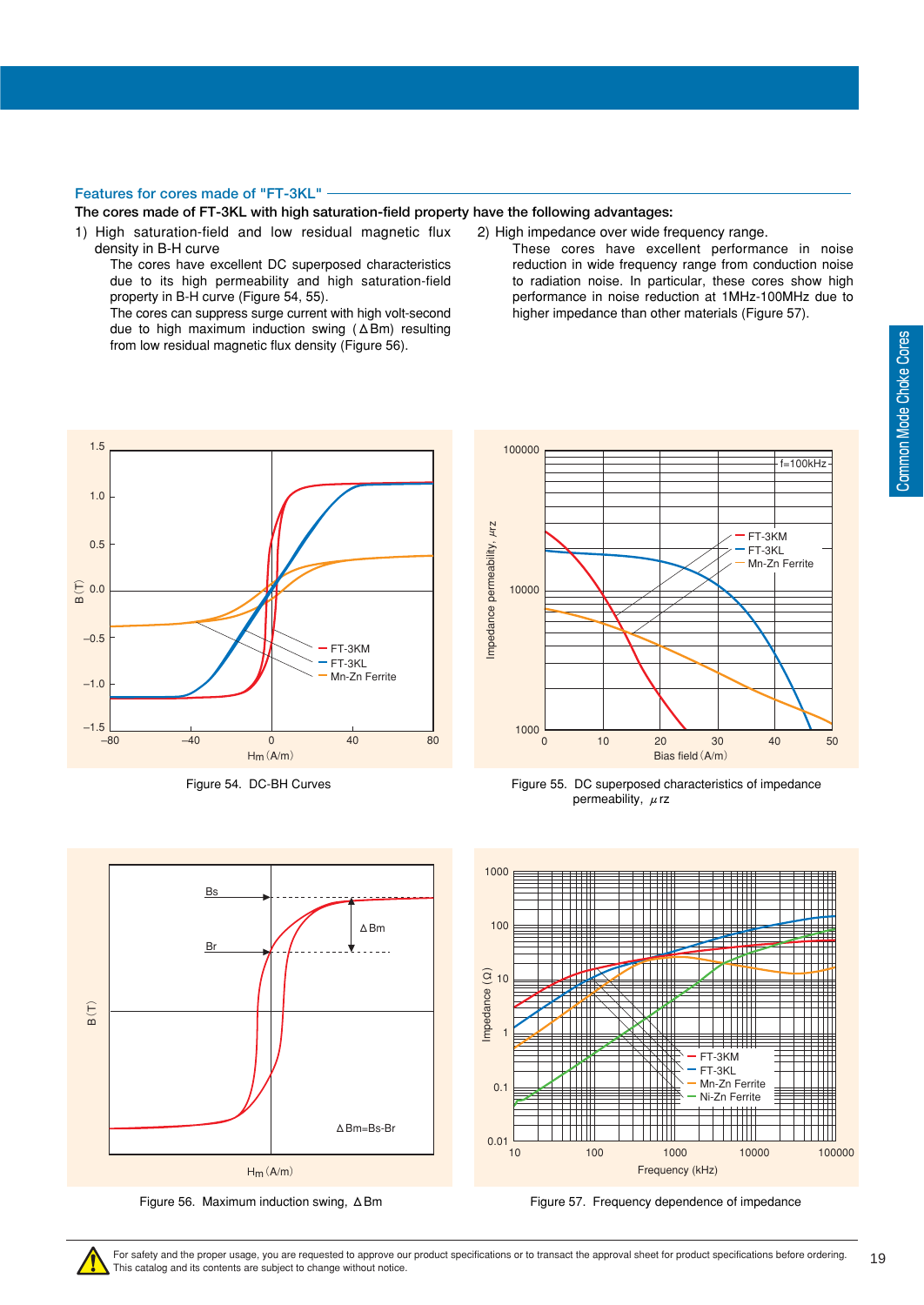#### **Features for cores made of "FT-3KL"**

#### **The cores made of FT-3KL with high saturation-field property have the following advantages:**

1) High saturation-field and low residual magnetic flux density in B-H curve

The cores have excellent DC superposed characteristics due to its high permeability and high saturation-field property in B-H curve (Figure 54, 55).

The cores can suppress surge current with high volt-second due to high maximum induction swing (ΔBm) resulting from low residual magnetic flux density (Figure 56).

- 2) High impedance over wide frequency range.
	- These cores have excellent performance in noise reduction in wide frequency range from conduction noise to radiation noise. In particular, these cores show high performance in noise reduction at 1MHz-100MHz due to higher impedance than other materials (Figure 57).





Figure 54. DC-BH Curves Figure 55. DC superposed characteristics of impedance permeability,  $\mu$ rz



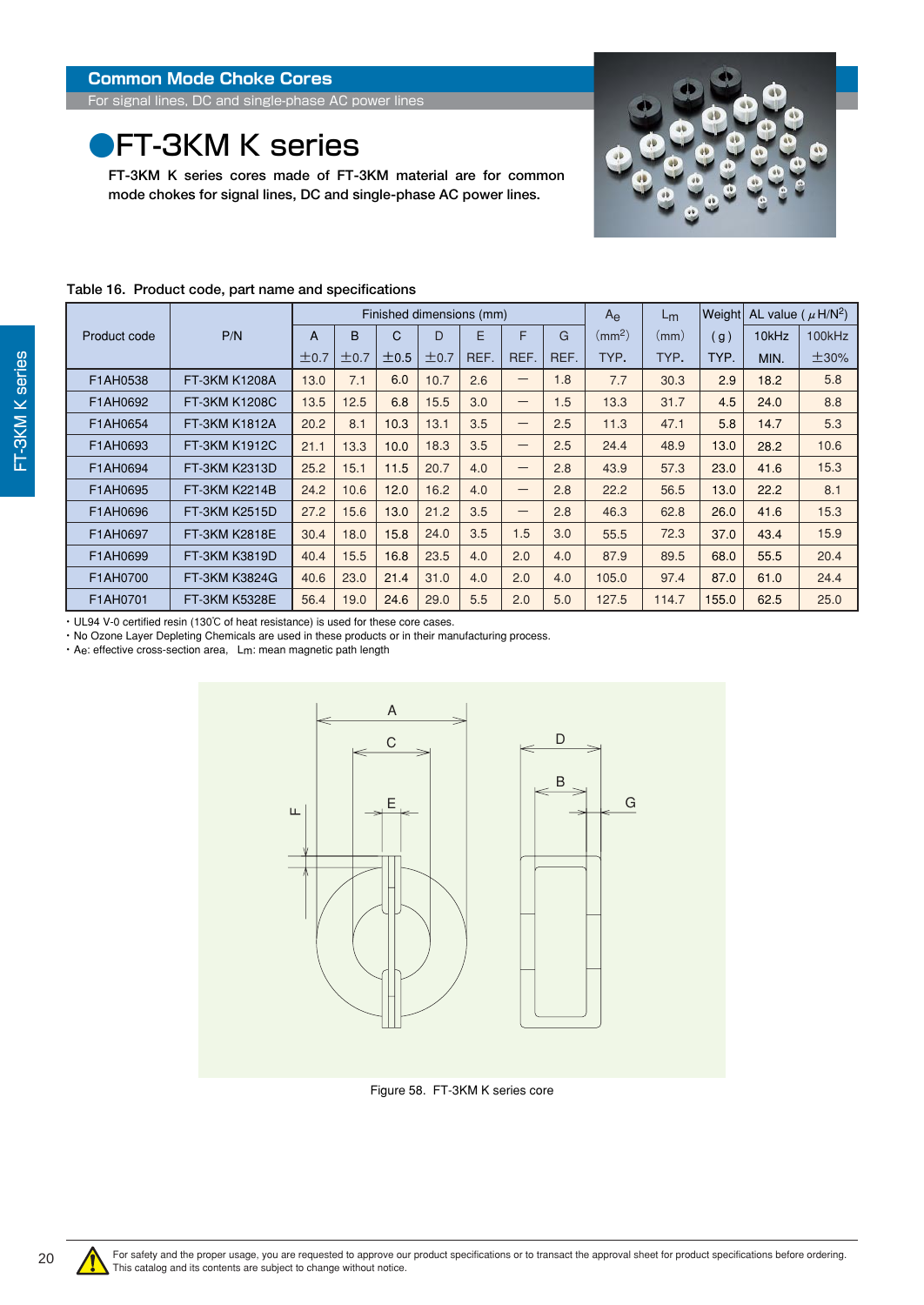<span id="page-19-0"></span>For signal lines, DC and single-phase AC power lines

### **•FT-3KM K series**

**FT-3KM K series cores made of FT-3KM material are for common mode chokes for signal lines, DC and single-phase AC power lines.**



#### **Table 16. Product code, part name and specifications**

|              |               |                | Finished dimensions (mm) |      |      |      |                   |      | $A_{\Theta}$       | $L_{m}$ | Weight | AL value ( $\mu$ H/N <sup>2</sup> ) |        |
|--------------|---------------|----------------|--------------------------|------|------|------|-------------------|------|--------------------|---------|--------|-------------------------------------|--------|
| Product code | P/N           | $\overline{A}$ | B                        | C    | D    | E    | F                 | G    | (mm <sup>2</sup> ) | (mm)    | (g)    | 10kHz                               | 100kHz |
|              |               | ±0.7           | ±0.7                     | ±0.5 | ±0.7 | REF. | REF.              | REF. | TYP.               | TYP.    | TYP.   | MIN.                                | ±30%   |
| F1AH0538     | FT-3KM K1208A | 13.0           | 7.1                      | 6.0  | 10.7 | 2.6  | $\qquad \qquad -$ | 1.8  | 7.7                | 30.3    | 2.9    | 18.2                                | 5.8    |
| F1AH0692     | FT-3KM K1208C | 13.5           | 12.5                     | 6.8  | 15.5 | 3.0  | $\qquad \qquad -$ | 1.5  | 13.3               | 31.7    | 4.5    | 24.0                                | 8.8    |
| F1AH0654     | FT-3KM K1812A | 20.2           | 8.1                      | 10.3 | 13.1 | 3.5  | —                 | 2.5  | 11.3               | 47.1    | 5.8    | 14.7                                | 5.3    |
| F1AH0693     | FT-3KM K1912C | 21.1           | 13.3                     | 10.0 | 18.3 | 3.5  | $\qquad \qquad -$ | 2.5  | 24.4               | 48.9    | 13.0   | 28.2                                | 10.6   |
| F1AH0694     | FT-3KM K2313D | 25.2           | 15.1                     | 11.5 | 20.7 | 4.0  | $\qquad \qquad -$ | 2.8  | 43.9               | 57.3    | 23.0   | 41.6                                | 15.3   |
| F1AH0695     | FT-3KM K2214B | 24.2           | 10.6                     | 12.0 | 16.2 | 4.0  | $\qquad \qquad -$ | 2.8  | 22.2               | 56.5    | 13.0   | 22.2                                | 8.1    |
| F1AH0696     | FT-3KM K2515D | 27.2           | 15.6                     | 13.0 | 21.2 | 3.5  | $\qquad \qquad -$ | 2.8  | 46.3               | 62.8    | 26.0   | 41.6                                | 15.3   |
| F1AH0697     | FT-3KM K2818E | 30.4           | 18.0                     | 15.8 | 24.0 | 3.5  | 1.5               | 3.0  | 55.5               | 72.3    | 37.0   | 43.4                                | 15.9   |
| F1AH0699     | FT-3KM K3819D | 40.4           | 15.5                     | 16.8 | 23.5 | 4.0  | 2.0               | 4.0  | 87.9               | 89.5    | 68.0   | 55.5                                | 20.4   |
| F1AH0700     | FT-3KM K3824G | 40.6           | 23.0                     | 21.4 | 31.0 | 4.0  | 2.0               | 4.0  | 105.0              | 97.4    | 87.0   | 61.0                                | 24.4   |
| F1AH0701     | FT-3KM K5328E | 56.4           | 19.0                     | 24.6 | 29.0 | 5.5  | 2.0               | 5.0  | 127.5              | 114.7   | 155.0  | 62.5                                | 25.0   |

・ UL94 V-0 certified resin (130℃ of heat resistance) is used for these core cases.

・ No Ozone Layer Depleting Chemicals are used in these products or in their manufacturing process.

・ Ae: effective cross-section area, Lm: mean magnetic path length



Figure 58. FT-3KM K series core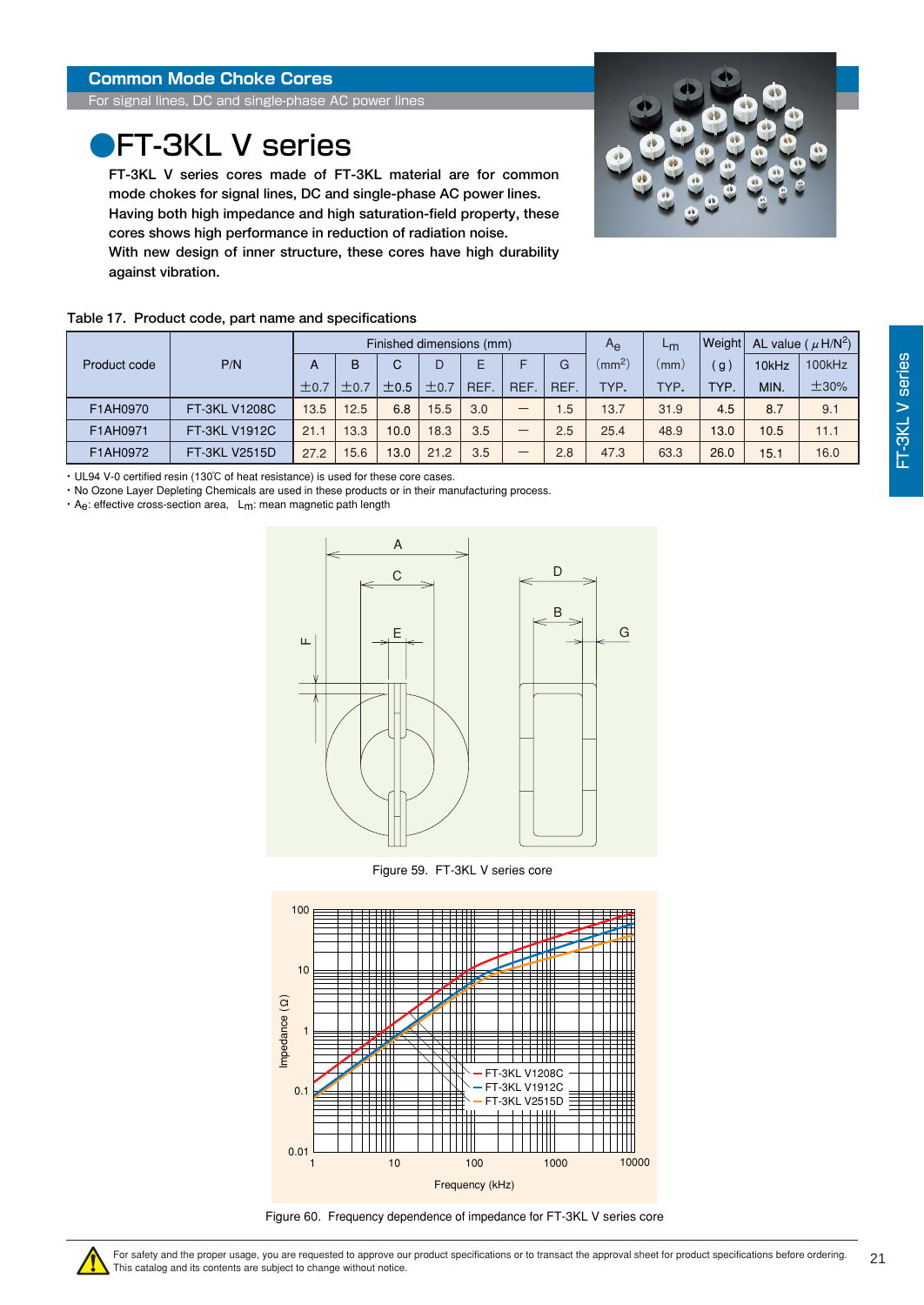<span id="page-20-0"></span>For signal lines, DC and single-phase AC power lines

## **PFT-3KL V series**

**FT-3KL V series cores made of FT-3KL material are for common mode chokes for signal lines, DC and single-phase AC power lines. Having both high impedance and high saturation-field property, these cores shows high performance in reduction of radiation noise. With new design of inner structure, these cores have high durability against vibration.**



#### **Table 17. Product code, part name and specifications**

|              |                      |      |      |           | Finished dimensions (mm) |            |            | $A_{\rm e}$ | Lm              | Weight |      | AL value ( $\mu$ H/N <sup>2</sup> ) |        |
|--------------|----------------------|------|------|-----------|--------------------------|------------|------------|-------------|-----------------|--------|------|-------------------------------------|--------|
| Product code | P/N                  | A    | в    |           |                          |            |            | G           | $\text{(mm}^2)$ | mm)    | g    | 10kHz                               | 100kHz |
|              |                      | ±0.7 |      | $\pm 0.5$ | $\pm$ 0.7                | <b>REF</b> | <b>REF</b> | REF.        | TYP.            | TYP.   | TYP. | MIN.                                | ±30%   |
| F1AH0970     | <b>FT-3KL V1208C</b> | 13.5 | 12.5 | 6.8       | 15.5                     | 3.0        | –          | 1.5         | 13.7            | 31.9   | 4.5  | 8.7                                 | 9.1    |
| F1AH0971     | <b>FT-3KL V1912C</b> | 21.1 | 13.3 | 10.0      | 18.3                     | 3.5        | –          | 2.5         | 25.4            | 48.9   | 13.0 | 10.5                                | 11.1   |
| F1AH0972     | FT-3KL V2515D        | 27.2 | 5.6  | 13.0      | 21.2                     | 3.5        | –          | 2.8         | 47.3            | 63.3   | 26.0 | 15.1                                | 16.0   |

・ UL94 V-0 certified resin (130℃ of heat resistance) is used for these core cases.

・ No Ozone Layer Depleting Chemicals are used in these products or in their manufacturing process.

・ Ae: effective cross-section area, Lm: mean magnetic path length



Figure 59. FT-3KL V series core



Figure 60. Frequency dependence of impedance for FT-3KL V series core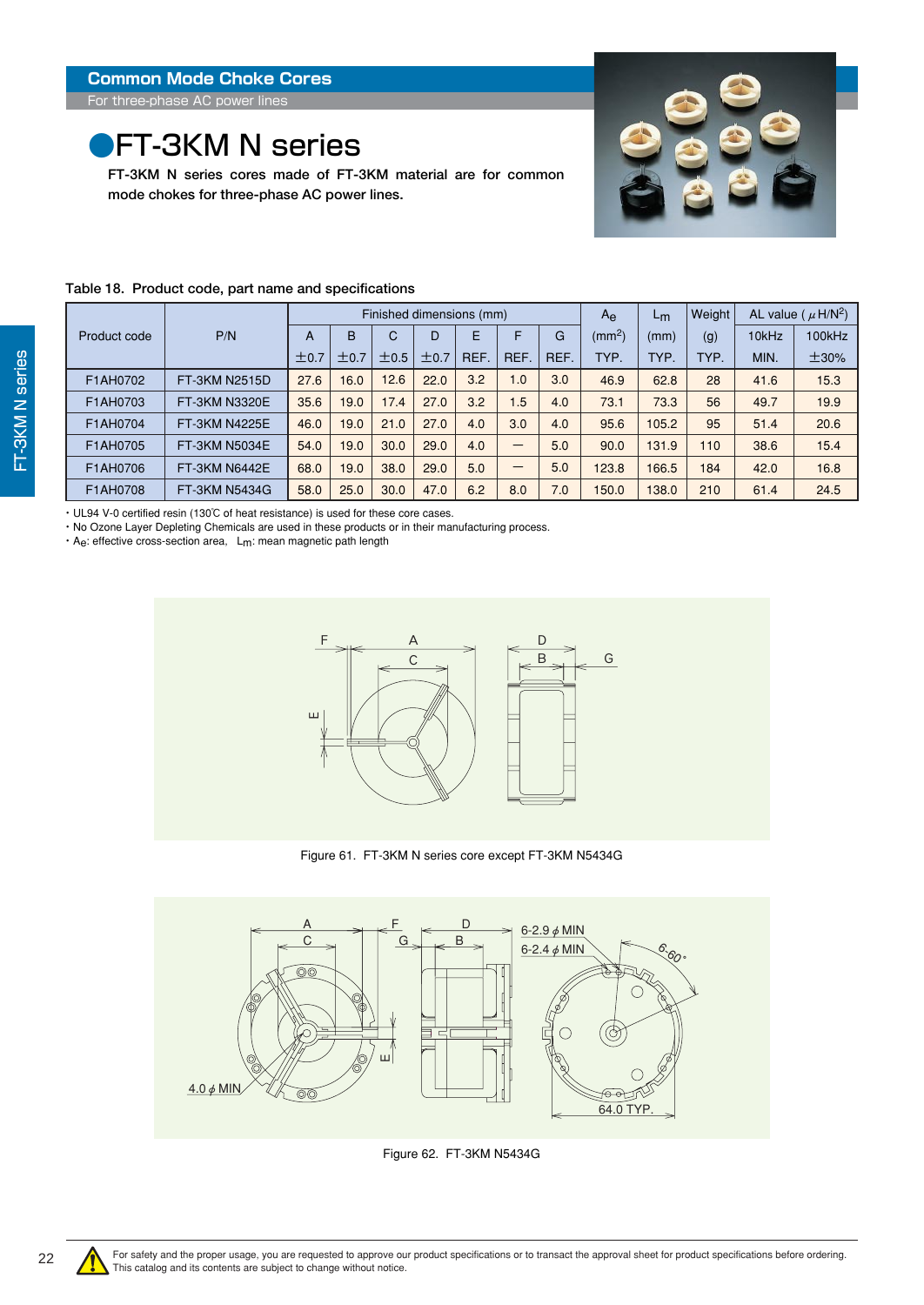### <span id="page-21-0"></span>**•FT-3KM N series**

**FT-3KM N series cores made of FT-3KM material are for common mode chokes for three-phase AC power lines.**



|              |                      |      | Finished dimensions (mm) |      |      |      |                          |      | $A_{\rm e}$        | L <sub>m</sub> | Weight |       | AL value ( $\mu$ H/N <sup>2</sup> ) |
|--------------|----------------------|------|--------------------------|------|------|------|--------------------------|------|--------------------|----------------|--------|-------|-------------------------------------|
| Product code | P/N                  | A    | B                        | C    | D    | E    | F                        | G    | (mm <sup>2</sup> ) | (mm)           | (g)    | 10kHz | 100kHz                              |
|              |                      | ±0.7 | ±0.7                     | ±0.5 | ±0.7 | REF. | REF.                     | REF. | TYP.               | TYP.           | TYP.   | MIN.  | ±30%                                |
| F1AH0702     | FT-3KM N2515D        | 27.6 | 16.0                     | 12.6 | 22.0 | 3.2  | 1.0                      | 3.0  | 46.9               | 62.8           | 28     | 41.6  | 15.3                                |
| F1AH0703     | FT-3KM N3320E        | 35.6 | 19.0                     | 17.4 | 27.0 | 3.2  | 1.5                      | 4.0  | 73.1               | 73.3           | 56     | 49.7  | 19.9                                |
| F1AH0704     | <b>FT-3KM N4225E</b> | 46.0 | 19.0                     | 21.0 | 27.0 | 4.0  | 3.0                      | 4.0  | 95.6               | 105.2          | 95     | 51.4  | 20.6                                |
| F1AH0705     | FT-3KM N5034E        | 54.0 | 19.0                     | 30.0 | 29.0 | 4.0  | $\overline{\phantom{0}}$ | 5.0  | 90.0               | 131.9          | 110    | 38.6  | 15.4                                |
| F1AH0706     | <b>FT-3KM N6442E</b> | 68.0 | 19.0                     | 38.0 | 29.0 | 5.0  | -                        | 5.0  | 123.8              | 166.5          | 184    | 42.0  | 16.8                                |
| F1AH0708     | FT-3KM N5434G        | 58.0 | 25.0                     | 30.0 | 47.0 | 6.2  | 8.0                      | 7.0  | 150.0              | 138.0          | 210    | 61.4  | 24.5                                |

#### **Table 18. Product code, part name and specifications**

・ UL94 V-0 certified resin (130℃ of heat resistance) is used for these core cases.

・ No Ozone Layer Depleting Chemicals are used in these products or in their manufacturing process.

 $\cdot$  A<sub>e</sub>: effective cross-section area,  $L_m$ : mean magnetic path length



Figure 61. FT-3KM N series core except FT-3KM N5434G



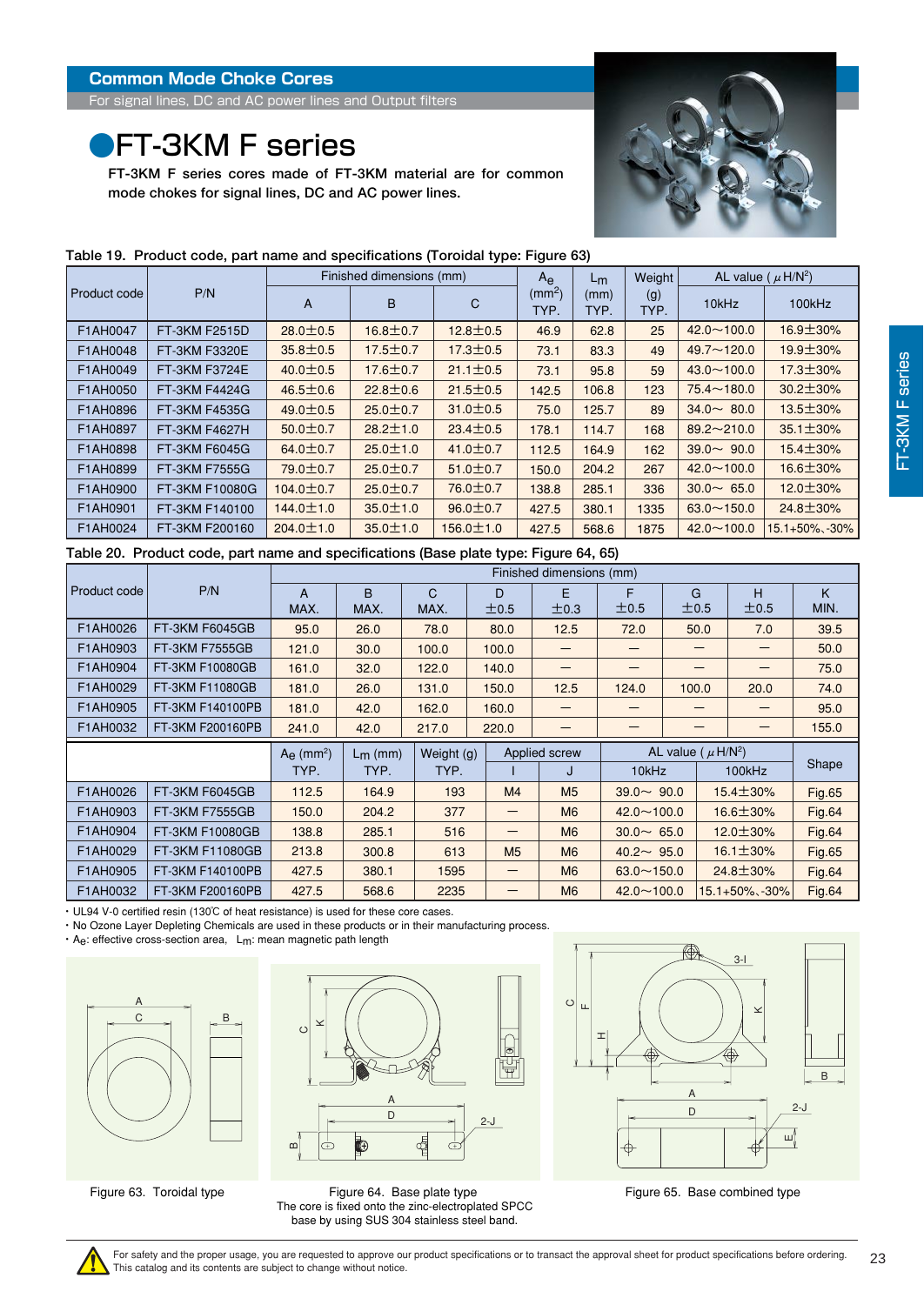<span id="page-22-0"></span>For signal lines, DC and AC power lines and Output filters

### **•FT-3KM F series**

**FT-3KM F series cores made of FT-3KM material are for common mode chokes for signal lines, DC and AC power lines.**



|              |                      |                 | Finished dimensions (mm) |                 | $A_{\rm e}$                | $L_m$        | Weight      | AL value ( $\mu$ H/N <sup>2</sup> ) |                      |  |
|--------------|----------------------|-----------------|--------------------------|-----------------|----------------------------|--------------|-------------|-------------------------------------|----------------------|--|
| Product code | P/N                  | A               | B                        | C               | (mm <sup>2</sup> )<br>TYP. | (mm)<br>TYP. | (g)<br>TYP. | 10kHz                               | 100kHz               |  |
| F1AH0047     | FT-3KM F2515D        | $28.0 \pm 0.5$  | $16.8 \pm 0.7$           | $12.8 \pm 0.5$  | 46.9                       | 62.8         | 25          | $42.0 \sim 100.0$                   | $16.9 \pm 30\%$      |  |
| F1AH0048     | FT-3KM F3320E        | $35.8 \pm 0.5$  | $17.5 \pm 0.7$           | $17.3 \pm 0.5$  | 73.1                       | 83.3         | 49          | $49.7 \sim 120.0$                   | $19.9 \pm 30\%$      |  |
| F1AH0049     | FT-3KM F3724E        | $40.0 \pm 0.5$  | $17.6 \pm 0.7$           | $21.1 \pm 0.5$  | 73.1                       | 95.8         | 59          | $43.0 \sim 100.0$                   | 17.3±30%             |  |
| F1AH0050     | <b>FT-3KM F4424G</b> | $46.5 \pm 0.6$  | $22.8 \pm 0.6$           | $21.5 \pm 0.5$  | 142.5                      | 106.8        | 123         | $75.4 \sim 180.0$                   | $30.2 \pm 30\%$      |  |
| F1AH0896     | FT-3KM F4535G        | $49.0 \pm 0.5$  | $25.0 \pm 0.7$           | $31.0 \pm 0.5$  | 75.0                       | 125.7        | 89          | $34.0 \sim 80.0$                    | $13.5 \pm 30\%$      |  |
| F1AH0897     | FT-3KM F4627H        | $50.0 \pm 0.7$  | $28.2 \pm 1.0$           | $23.4 \pm 0.5$  | 178.1                      | 114.7        | 168         | $89.2 \sim 210.0$                   | 35.1±30%             |  |
| F1AH0898     | FT-3KM F6045G        | $64.0 \pm 0.7$  | $25.0 \pm 1.0$           | $41.0 \pm 0.7$  | 112.5                      | 164.9        | 162         | $39.0 \sim 90.0$                    | $15.4 \pm 30\%$      |  |
| F1AH0899     | FT-3KM F7555G        | $79.0 \pm 0.7$  | $25.0 \pm 0.7$           | $51.0 \pm 0.7$  | 150.0                      | 204.2        | 267         | $42.0 \sim 100.0$                   | 16.6±30%             |  |
| F1AH0900     | FT-3KM F10080G       | $104.0 \pm 0.7$ | $25.0 \pm 0.7$           | $76.0 \pm 0.7$  | 138.8                      | 285.1        | 336         | $30.0 \sim 65.0$                    | $12.0 \pm 30\%$      |  |
| F1AH0901     | FT-3KM F140100       | $144.0 \pm 1.0$ | $35.0 \pm 1.0$           | $96.0 \pm 0.7$  | 427.5                      | 380.1        | 1335        | $63.0 \sim 150.0$                   | $24.8 \pm 30\%$      |  |
| F1AH0024     | FT-3KM F200160       | $204.0 \pm 1.0$ | $35.0 \pm 1.0$           | $156.0 \pm 1.0$ | 427.5                      | 568.6        | 1875        | $42.0 \sim 100.0$                   | $15.1 + 50\% - 30\%$ |  |

#### **Table 19. Product code, part name and specifications (Toroidal type: Figure 63)**

#### **Table 20. Product code, part name and specifications (Base plate type: Figure 64, 65)**

|              |                  |                                 |                      |            |                | Finished dimensions (mm) |                                     |           |      |                      |               |
|--------------|------------------|---------------------------------|----------------------|------------|----------------|--------------------------|-------------------------------------|-----------|------|----------------------|---------------|
| Product code | P/N              | A<br>MAX.                       | <sub>B</sub><br>MAX. | C<br>MAX.  | D<br>±0.5      | E<br>±0.3                | F<br>±0.5                           | G<br>±0.5 |      | H<br>±0.5            | K<br>MIN.     |
| F1AH0026     | FT-3KM F6045GB   | 95.0                            | 26.0                 | 78.0       | 80.0           | 12.5                     | 72.0                                |           | 50.0 | 7.0                  | 39.5          |
| F1AH0903     | FT-3KM F7555GB   | 121.0                           | 30.0                 | 100.0      | 100.0          |                          |                                     |           |      |                      | 50.0          |
| F1AH0904     | FT-3KM F10080GB  | 161.0                           | 32.0                 | 122.0      | 140.0          |                          |                                     |           |      |                      | 75.0          |
| F1AH0029     | FT-3KM F11080GB  | 181.0                           | 26.0                 | 131.0      | 150.0          | 12.5                     | 124.0                               | 100.0     |      | 20.0                 | 74.0          |
| F1AH0905     | FT-3KM F140100PB | 181.0                           | 42.0                 | 162.0      | 160.0          |                          |                                     |           |      |                      | 95.0          |
| F1AH0032     | FT-3KM F200160PB | 241.0                           | 42.0                 | 217.0      | 220.0          |                          | –                                   |           | —    | —                    | 155.0         |
|              |                  | $A_{\Theta}$ (mm <sup>2</sup> ) | $L_m$ (mm)           | Weight (g) | Applied screw  |                          | AL value ( $\mu$ H/N <sup>2</sup> ) |           |      |                      |               |
|              |                  | TYP.                            | TYP.                 | TYP.       |                | J                        | 10kHz                               |           |      | 100kHz               | Shape         |
| F1AH0026     | FT-3KM F6045GB   | 112.5                           | 164.9                | 193        | M <sub>4</sub> | M <sub>5</sub>           | $39.0 \sim 90.0$                    |           |      | 15.4±30%             | Fig.65        |
| F1AH0903     | FT-3KM F7555GB   | 150.0                           | 204.2                | 377        |                | M6                       | $42.0 \sim 100.0$                   |           |      | 16.6±30%             | <b>Fig.64</b> |
| F1AH0904     | FT-3KM F10080GB  | 138.8                           | 285.1                | 516        |                | M <sub>6</sub>           | $30.0 \sim 65.0$                    |           |      | $12.0 \pm 30\%$      | Fig.64        |
| F1AH0029     | FT-3KM F11080GB  | 213.8                           | 300.8                | 613        | M <sub>5</sub> | M <sub>6</sub>           | $40.2 \sim 95.0$                    |           |      | $16.1 \pm 30\%$      | <b>Fig.65</b> |
| F1AH0905     | FT-3KM F140100PB | 427.5                           | 380.1                | 1595       |                | M <sub>6</sub>           | $63.0 \sim 150.0$                   |           |      | 24.8±30%             | <b>Fig.64</b> |
| F1AH0032     | FT-3KM F200160PB | 427.5                           | 568.6                | 2235       | —              | M <sub>6</sub>           | $42.0 \sim 100.0$                   |           |      | $15.1 + 50\% - 30\%$ | <b>Fig.64</b> |

・ UL94 V-0 certified resin (130℃ of heat resistance) is used for these core cases.

・ No Ozone Layer Depleting Chemicals are used in these products or in their manufacturing process.

・ Ae: effective cross-section area, Lm: mean magnetic path length



 $\check{}$  $\circ$ A D 2-J ₫

B 2-J I  $\circ$ LL. D A шį  $\ltimes$ 

3-I

Figure 63. Toroidal type Figure 64. Base plate type

The core is fixed onto the zinc-electroplated SPCC base by using SUS 304 stainless steel band.

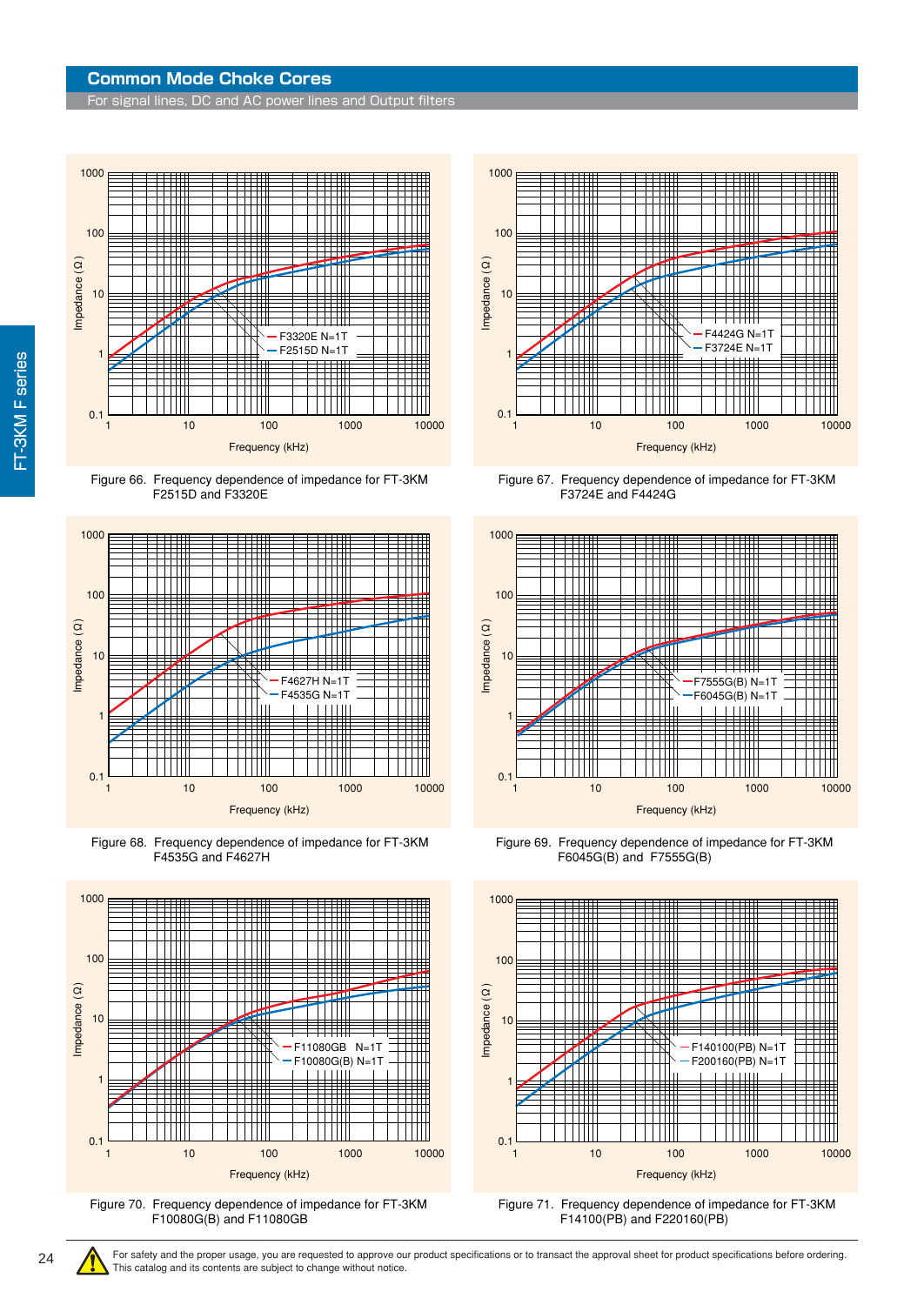For signal lines, DC and AC power lines and Output filters



Figure 66. Frequency dependence of impedance for FT-3KM F2515D and F3320E



Figure 68. Frequency dependence of impedance for FT-3KM F4535G and F4627H



Figure 70. Frequency dependence of impedance for FT-3KM F10080G(B) and F11080GB



Figure 67. Frequency dependence of impedance for FT-3KM F3724E and F4424G



Figure 69. Frequency dependence of impedance for FT-3KM F6045G(B) and F7555G(B)



Figure 71. Frequency dependence of impedance for FT-3KM F14100(PB) and F220160(PB)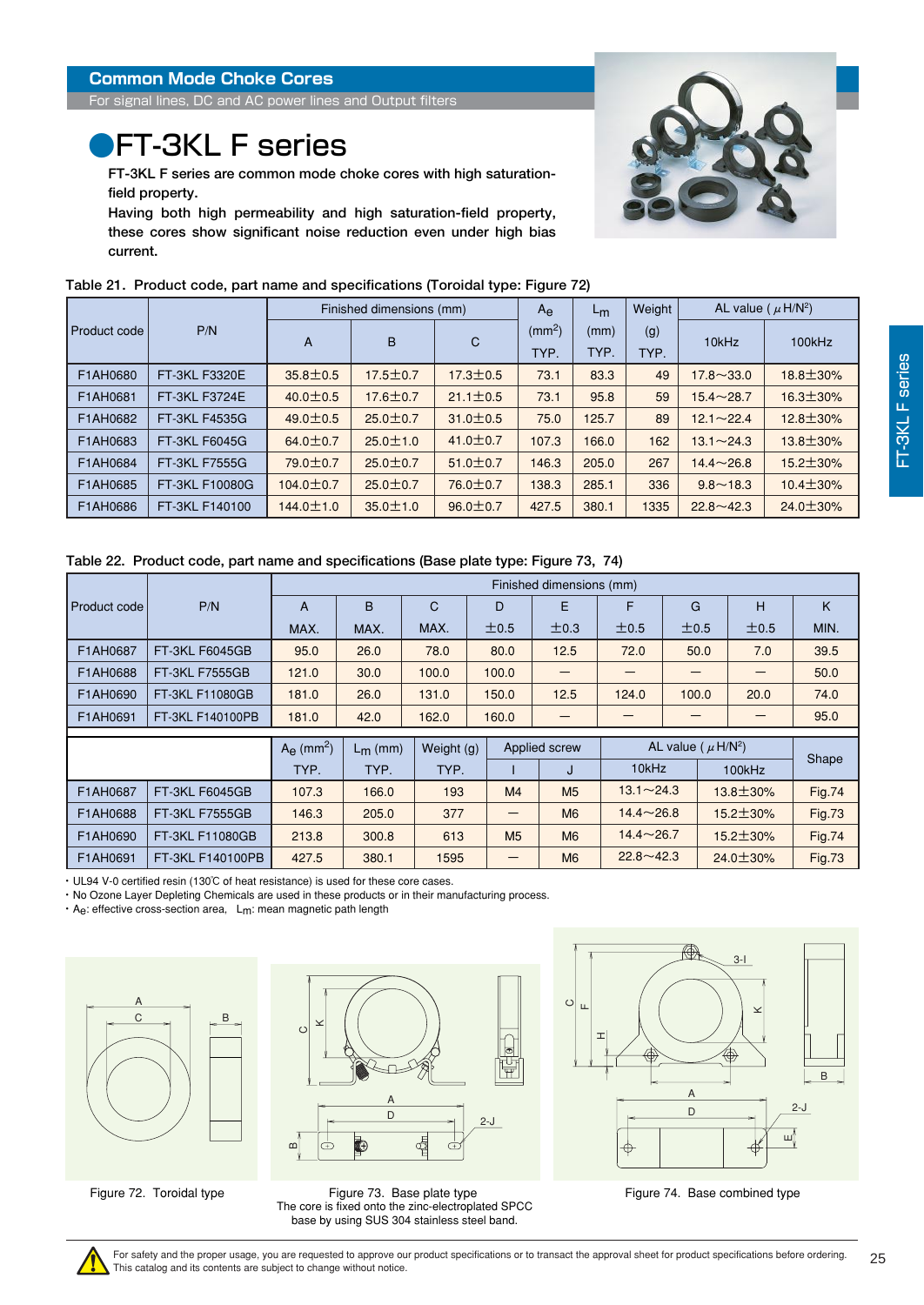<span id="page-24-0"></span>For signal lines, DC and AC power lines and Output filters

## **PFT-3KL F series**

**FT-3KL F series are common mode choke cores with high saturationfield property.** 

**Having both high permeability and high saturation-field property, these cores show significant noise reduction even under high bias current.**

|              | Table 21.Product code, part name and specifications (Toroidal type: Figure 72) |                 |                          |                |                    |       |        |                                     |                 |  |  |
|--------------|--------------------------------------------------------------------------------|-----------------|--------------------------|----------------|--------------------|-------|--------|-------------------------------------|-----------------|--|--|
|              |                                                                                |                 | Finished dimensions (mm) |                | $A_{\Theta}$       | $L_m$ | Weight | AL value ( $\mu$ H/N <sup>2</sup> ) |                 |  |  |
| Product code | P/N                                                                            | A               | B                        | $\mathsf{C}$   | (mm <sup>2</sup> ) | (mm)  | (g)    | 10kHz                               | 100kHz          |  |  |
|              |                                                                                |                 |                          |                | TYP.               | TYP.  | TYP.   |                                     |                 |  |  |
| F1AH0680     | FT-3KL F3320E                                                                  | $35.8 \pm 0.5$  | $17.5 \pm 0.7$           | $17.3 \pm 0.5$ | 73.1               | 83.3  | 49     | $17.8 \sim 33.0$                    | 18.8±30%        |  |  |
| F1AH0681     | FT-3KL F3724E                                                                  | $40.0 \pm 0.5$  | 17.6±0.7                 | $21.1 \pm 0.5$ | 73.1               | 95.8  | 59     | $15.4 \sim 28.7$                    | $16.3 \pm 30\%$ |  |  |
| F1AH0682     | FT-3KL F4535G                                                                  | $49.0 \pm 0.5$  | $25.0 \pm 0.7$           | $31.0 \pm 0.5$ | 75.0               | 125.7 | 89     | $12.1 \sim 22.4$                    | $12.8 \pm 30\%$ |  |  |
| F1AH0683     | FT-3KL F6045G                                                                  | $64.0 \pm 0.7$  | $25.0 \pm 1.0$           | $41.0 \pm 0.7$ | 107.3              | 166.0 | 162    | $13.1 \sim 24.3$                    | $13.8 \pm 30\%$ |  |  |
| F1AH0684     | FT-3KL F7555G                                                                  | 79.0±0.7        | $25.0 \pm 0.7$           | $51.0 \pm 0.7$ | 146.3              | 205.0 | 267    | $14.4 \sim 26.8$                    | $15.2 \pm 30\%$ |  |  |
| F1AH0685     | FT-3KL F10080G                                                                 | 104.0 $\pm$ 0.7 | $25.0 \pm 0.7$           | $76.0 \pm 0.7$ | 138.3              | 285.1 | 336    | $9.8 - 18.3$                        | $10.4 \pm 30\%$ |  |  |
| F1AH0686     | FT-3KL F140100                                                                 | $144.0 \pm 1.0$ | $35.0 \pm 1.0$           | $96.0 \pm 0.7$ | 427.5              | 380.1 | 1335   | $22.8 \sim 42.3$                    | $24.0 \pm 30\%$ |  |  |

#### **Table 21. Product code, part name and specifications (Toroidal type: Figure 72)**

#### **Table 22. Product code, part name and specifications (Base plate type: Figure 73, 74)**

|              |                       | Finished dimensions (mm)        |            |              |                |                |                                     |       |                 |               |
|--------------|-----------------------|---------------------------------|------------|--------------|----------------|----------------|-------------------------------------|-------|-----------------|---------------|
| Product code | P/N                   | A                               | B          | $\mathsf{C}$ | D              | E              | F                                   | G     | н               | K             |
|              |                       | MAX.                            | MAX.       | MAX.         | ±0.5           | ±0.3           | ±0.5                                | ±0.5  | ±0.5            | MIN.          |
| F1AH0687     | <b>FT-3KL F6045GB</b> | 95.0                            | 26.0       | 78.0         | 80.0           | 12.5           | 72.0                                | 50.0  | 7.0             | 39.5          |
| F1AH0688     | <b>FT-3KL F7555GB</b> | 121.0                           | 30.0       | 100.0        | 100.0          |                |                                     |       |                 | 50.0          |
| F1AH0690     | FT-3KL F11080GB       | 181.0                           | 26.0       | 131.0        | 150.0          | 12.5           | 124.0                               | 100.0 | 20.0            | 74.0          |
| F1AH0691     | FT-3KL F140100PB      | 181.0                           | 42.0       | 162.0        | 160.0          |                |                                     |       | —               | 95.0          |
|              |                       |                                 |            |              |                |                |                                     |       |                 |               |
|              |                       | $A_{\Theta}$ (mm <sup>2</sup> ) | $L_m$ (mm) | Weight (g)   | Applied screw  |                | AL value ( $\mu$ H/N <sup>2</sup> ) |       |                 |               |
|              |                       | TYP.                            | TYP.       | TYP.         |                | J              | 10kHz                               |       | 100kHz          | Shape         |
| F1AH0687     | <b>FT-3KL F6045GB</b> | 107.3                           | 166.0      | 193          | M <sub>4</sub> | M <sub>5</sub> | $13.1 - 24.3$                       |       | $13.8 \pm 30\%$ | <b>Fig.74</b> |
| F1AH0688     | <b>FT-3KL F7555GB</b> | 146.3                           | 205.0      | 377          |                | M <sub>6</sub> | $14.4 \sim 26.8$                    |       | 15.2±30%        | <b>Fig.73</b> |
| F1AH0690     | FT-3KL F11080GB       | 213.8                           | 300.8      | 613          | M <sub>5</sub> | M <sub>6</sub> | $14.4 \sim 26.7$                    |       | $15.2 \pm 30\%$ | <b>Fig.74</b> |
| F1AH0691     | FT-3KL F140100PB      | 427.5                           | 380.1      | 1595         |                | M <sub>6</sub> | $22.8 \sim 42.3$                    |       | $24.0 \pm 30\%$ | <b>Fig.73</b> |

・ UL94 V-0 certified resin (130℃ of heat resistance) is used for these core cases.

・ No Ozone Layer Depleting Chemicals are used in these products or in their manufacturing process.

・ Ae: effective cross-section area, Lm: mean magnetic path length





Figure 72. Toroidal type Figure 73. Base plate type The core is fixed onto the zinc-electroplated SPCC base by using SUS 304 stainless steel band.



Figure 74. Base combined type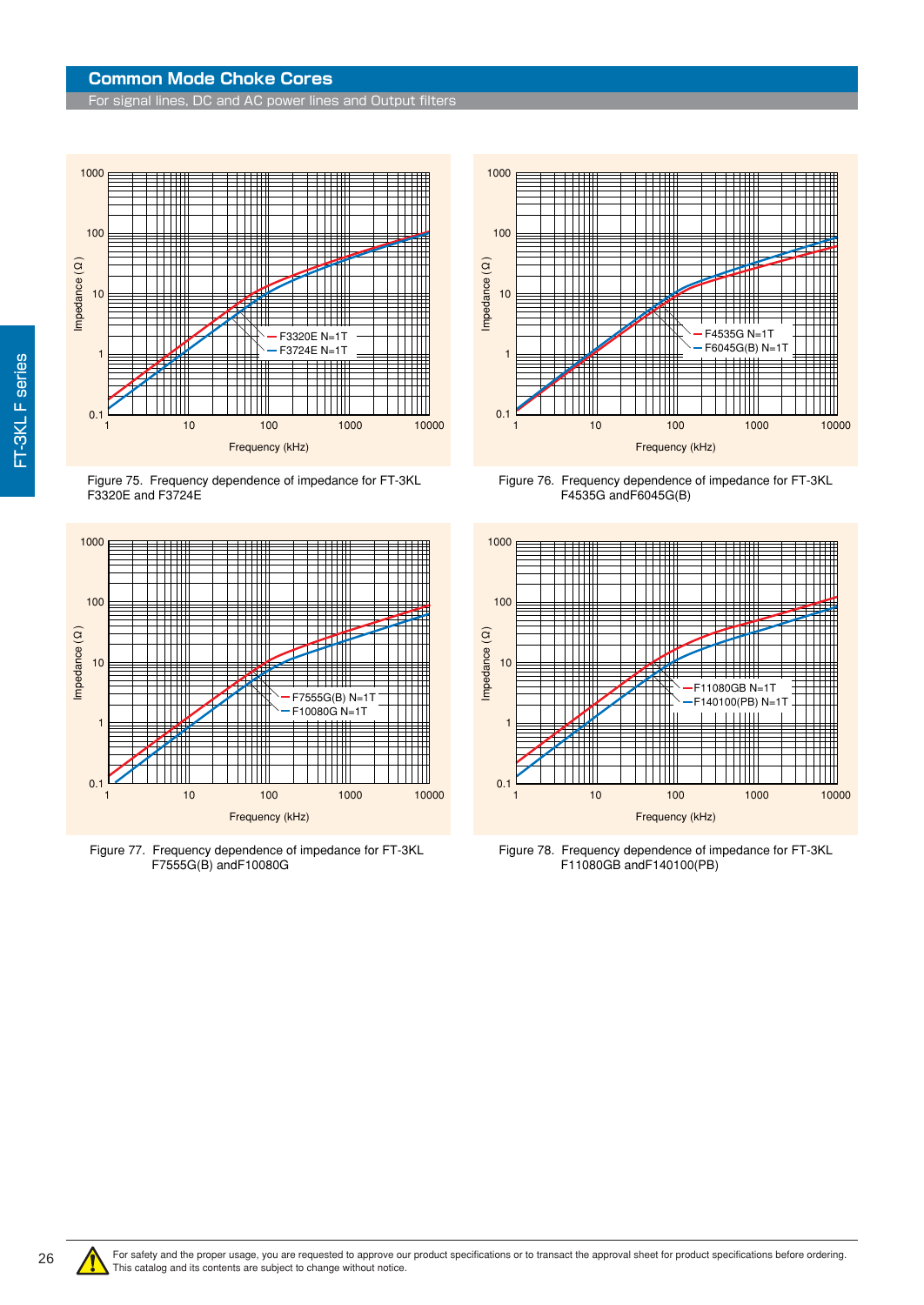For signal lines, DC and AC power lines and Output filters



Figure 75. Frequency dependence of impedance for FT-3KL F3320E and F3724E



Figure 77. Frequency dependence of impedance for FT-3KL F7555G(B) andF10080G



Figure 76. Frequency dependence of impedance for FT-3KL F4535G andF6045G(B)



Figure 78. Frequency dependence of impedance for FT-3KL F11080GB andF140100(PB)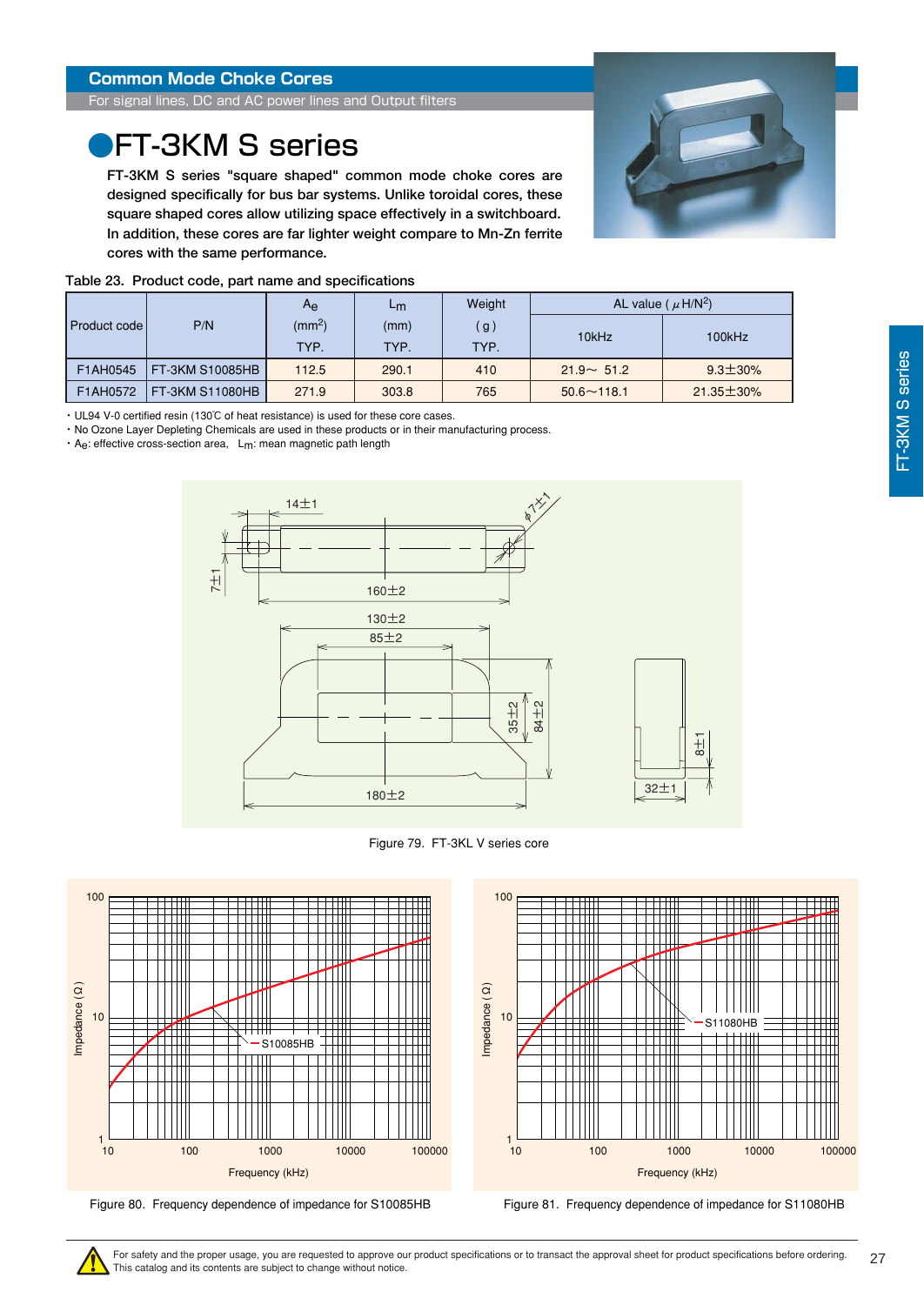<span id="page-26-0"></span>For signal lines, DC and AC power lines and Output filters

### **PET-3KM S series**

**FT-3KM S series "square shaped" common mode choke cores are designed specifically for bus bar systems. Unlike toroidal cores, these square shaped cores allow utilizing space effectively in a switchboard. In addition, these cores are far lighter weight compare to Mn-Zn ferrite cores with the same performance.**



| Table 23. Product code, part name and specifications |  |  |
|------------------------------------------------------|--|--|
|                                                      |  |  |

|  |                      |                 | $A_{\mathbf{e}}$   | ∟m    | Weight | AL value ( $\mu$ H/N <sup>2</sup> ) |                  |  |
|--|----------------------|-----------------|--------------------|-------|--------|-------------------------------------|------------------|--|
|  | <b>Product codel</b> | P/N             | (mm <sup>2</sup> ) | (mm)  | (g)    | 10kHz                               | 100kHz           |  |
|  |                      | TYP.            | TYP.               | TYP.  |        |                                     |                  |  |
|  | F1AH0545             | FT-3KM S10085HB | 112.5              | 290.1 | 410    | $21.9 - 51.2$                       | $9.3 \pm 30\%$   |  |
|  | F1AH0572             | FT-3KM S11080HB | 271.9              | 303.8 | 765    | $50.6 \sim 118.1$                   | $21.35 \pm 30\%$ |  |

・ UL94 V-0 certified resin (130℃ of heat resistance) is used for these core cases.

・ No Ozone Layer Depleting Chemicals are used in these products or in their manufacturing process.

・ Ae: effective cross-section area, Lm: mean magnetic path length



Figure 79. FT-3KL V series core





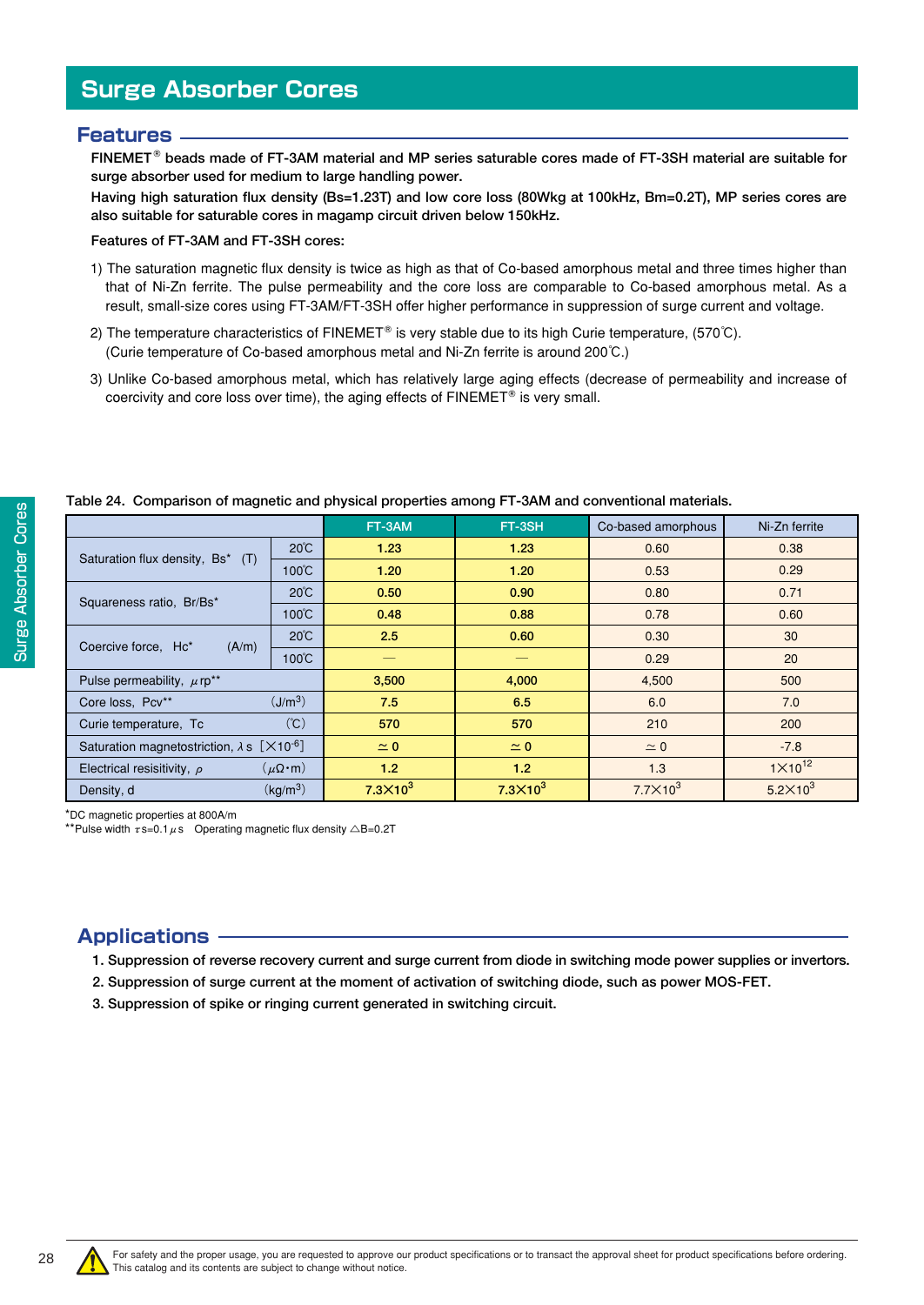### <span id="page-27-0"></span>**Features**

**FINEMET beads made of FT-3AM material and MP series saturable cores made of FT-3SH material are suitable for surge absorber used for medium to large handling power.** 

**Having high saturation flux density (Bs=1.23T) and low core loss (80Wkg at 100kHz, Bm=0.2T), MP series cores are also suitable for saturable cores in magamp circuit driven below 150kHz.** 

#### **Features of FT-3AM and FT-3SH cores:**

- 1) The saturation magnetic flux density is twice as high as that of Co-based amorphous metal and three times higher than that of Ni-Zn ferrite. The pulse permeability and the core loss are comparable to Co-based amorphous metal. As a result, small-size cores using FT-3AM/FT-3SH offer higher performance in suppression of surge current and voltage.
- 2) The temperature characteristics of FINEMET<sup>®</sup> is very stable due to its high Curie temperature, (570℃). (Curie temperature of Co-based amorphous metal and Ni-Zn ferrite is around 200℃.)
- 3) Unlike Co-based amorphous metal, which has relatively large aging effects (decrease of permeability and increase of coercivity and core loss over time), the aging effects of  $FINEMENT^{\circledast}$  is very small.

|              | Table 24. Cor  |
|--------------|----------------|
| Cores        |                |
|              | Saturation flu |
| Absorber     | Squareness r   |
| <b>Surge</b> | Coercive forc  |
|              | Pulse permea   |

**Table 24. Comparison of magnetic and physical properties among FT-3AM and conventional materials.**

|                                                                        |                        | FT-3AM           | FT-3SH          | Co-based amorphous   | Ni-Zn ferrite      |
|------------------------------------------------------------------------|------------------------|------------------|-----------------|----------------------|--------------------|
| Saturation flux density, Bs* (T)                                       | $20^{\circ}$ C         | 1.23             | 1.23            | 0.60                 | 0.38               |
|                                                                        | 100°C                  | 1.20             | 1.20            | 0.53                 | 0.29               |
| Squareness ratio, Br/Bs*                                               | $20^{\circ}$ C         | 0.50             | 0.90            | 0.80<br>0.78<br>0.30 | 0.71               |
|                                                                        | $100^{\circ}$ C        | 0.48             | 0.88            |                      | 0.60               |
| Coercive force, Hc*<br>(A/m)                                           | $20^{\circ}$ C         | 2.5              | 0.60            |                      | 30                 |
|                                                                        | 100℃                   |                  |                 | 0.29                 | 20                 |
| Pulse permeability, $\mu$ rp <sup>**</sup>                             |                        | 3,500            | 4,000           | 4,500                | 500                |
| Core loss, Pcv**                                                       | (J/m <sup>3</sup> )    | 7.5              | 6.5             | 6.0                  | 7.0                |
| Curie temperature, Tc                                                  | (C)                    | 570              | 570             | 210                  | 200                |
| Saturation magnetostriction, $\lambda s$ [ $\times$ 10 <sup>-6</sup> ] |                        | $\simeq$ 0       | $\simeq$ 0      | $\simeq$ 0           | $-7.8$             |
| Electrical resisitivity, $\rho$                                        | $(\mu \Omega \cdot m)$ | 1.2 <sub>2</sub> | 1.2             | 1.3                  | $1 \times 10^{12}$ |
| Density, d                                                             | (kg/m <sup>3</sup> )   | $7.3\times10^3$  | $7.3\times10^3$ | $7.7\times10^3$      | $5.2\times10^3$    |

\*DC magnetic properties at 800A/m

\*\*Pulse width  $\tau$ s=0.1  $\mu$ s Operating magnetic flux density  $\triangle$ B=0.2T

### **Applications**

**1. Suppression of reverse recovery current and surge current from diode in switching mode power supplies or invertors.** 

- **2. Suppression of surge current at the moment of activation of switching diode, such as power MOS-FET.**
- **3. Suppression of spike or ringing current generated in switching circuit.**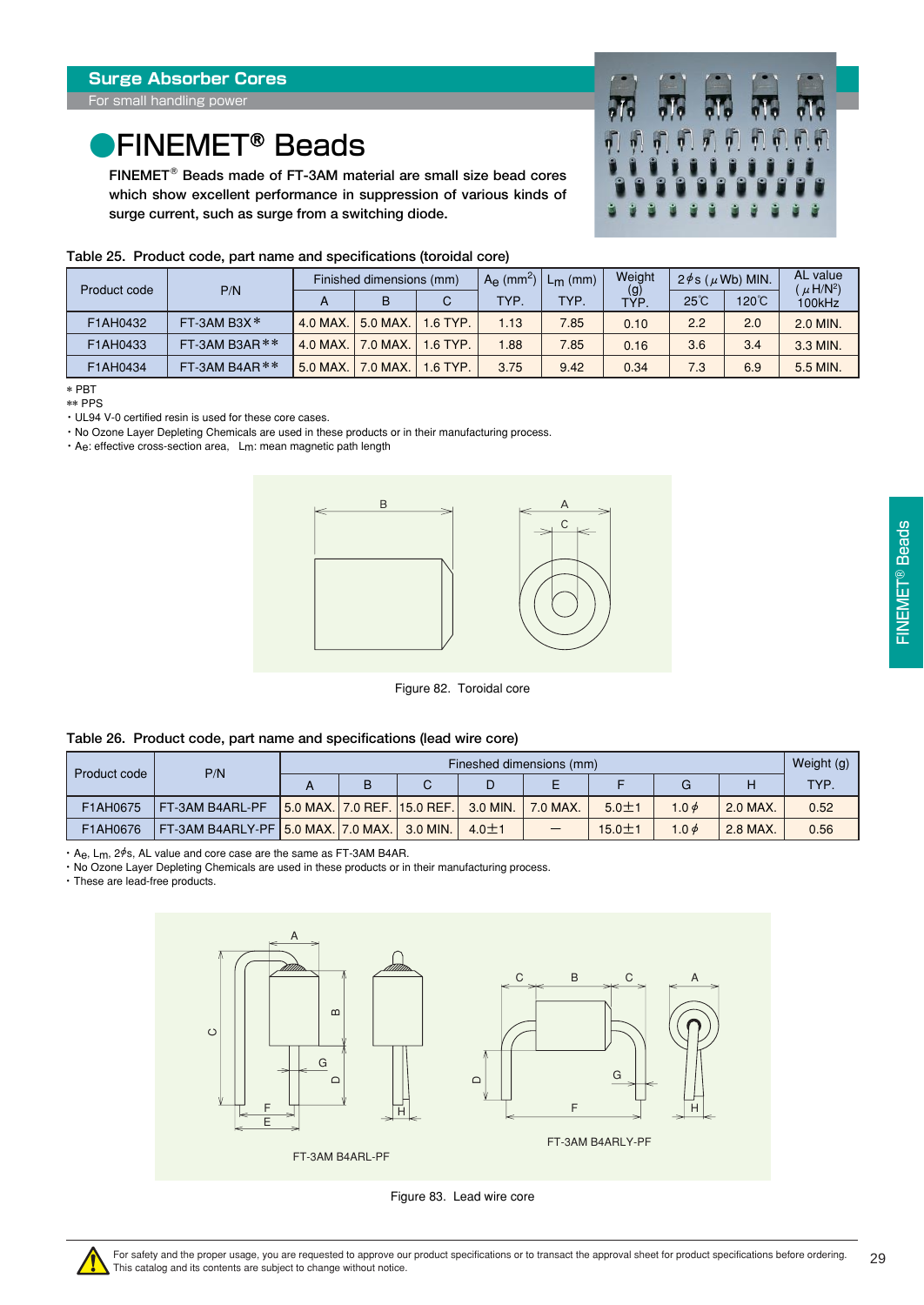## <span id="page-28-0"></span>●FINEMET<sup>®</sup> Beads

**FINEMET Beads made of FT-3AM material are small size bead cores which show excellent performance in suppression of various kinds of surge current, such as surge from a switching diode.**



|              |                  | Finished dimensions (mm) |                                                                                                                                                                                                              |         | $A_{\Theta}$ (mm <sup>2</sup> ) | $L_m$ (mm) | Weight | $2\phi$ s ( $\mu$ Wb) MIN. |     | AL value<br>$\mu$ H/N <sup>2</sup> ) |  |
|--------------|------------------|--------------------------|--------------------------------------------------------------------------------------------------------------------------------------------------------------------------------------------------------------|---------|---------------------------------|------------|--------|----------------------------|-----|--------------------------------------|--|
| Product code | P/N              | А                        | $\frac{1}{1}$<br>120°C<br>$25^{\circ}$ C<br><b>TYP</b><br><b>TYP</b><br>C<br>в<br>5.0 MAX.<br>$1.6$ TYP.<br>2.0<br>2.2<br>1.13<br>7.85<br>0.10<br>7.0 MAX.<br>1.6 TYP.<br>3.4<br>1.88<br>7.85<br>3.6<br>0.16 | 100kHz  |                                 |            |        |                            |     |                                      |  |
| F1AH0432     | FT-3AM B3X*      | 4.0 MAX.                 |                                                                                                                                                                                                              |         |                                 |            |        |                            |     | 2.0 MIN.                             |  |
| F1AH0433     | FT-3AM B3AR $**$ | 4.0 MAX.                 |                                                                                                                                                                                                              |         |                                 |            |        |                            |     | 3.3 MIN.                             |  |
| F1AH0434     | FT-3AM B4AR $**$ | 5.0 MAX.                 | 7.0 MAX.                                                                                                                                                                                                     | .6 TYP. | 3.75                            | 9.42       | 0.34   | 7.3                        | 6.9 | 5.5 MIN.                             |  |

#### **Table 25. Product code, part name and specifications (toroidal core)**

\* PBT

\*\* PPS

・ UL94 V-0 certified resin is used for these core cases.

・ No Ozone Layer Depleting Chemicals are used in these products or in their manufacturing process.

・ Ae: effective cross-section area, Lm: mean magnetic path length



Figure 82. Toroidal core

#### **Table 26. Product code, part name and specifications (lead wire core)**

| Product code | P/N                                | Fineshed dimensions (mm) |   |                                       |             |          |              |            |          | Weight (g) |
|--------------|------------------------------------|--------------------------|---|---------------------------------------|-------------|----------|--------------|------------|----------|------------|
|              |                                    |                          | В |                                       |             |          |              |            |          | TYP.       |
| F1AH0675     | FT-3AM B4ARL-PF                    |                          |   | <b>15.0 MAX. 7.0 REF. 15.0 REF. I</b> | $3.0$ MIN.  | 7.0 MAX. | $5.0 + 1$    | $1.0 \phi$ | 2.0 MAX. | 0.52       |
| F1AH0676     | FT-3AM B4ARLY-PF 5.0 MAX. 7.0 MAX. |                          |   | $\frac{1}{2}$ 3.0 MIN.                | $4.0 \pm 1$ |          | $15.0 \pm 1$ | $1.0\phi$  | 2.8 MAX  | 0.56       |

 $\cdot$  A<sub>e</sub>, L<sub>m</sub>, 2 $\phi$ s, AL value and core case are the same as FT-3AM B4AR.

・ No Ozone Layer Depleting Chemicals are used in these products or in their manufacturing process.

・ These are lead-free products.





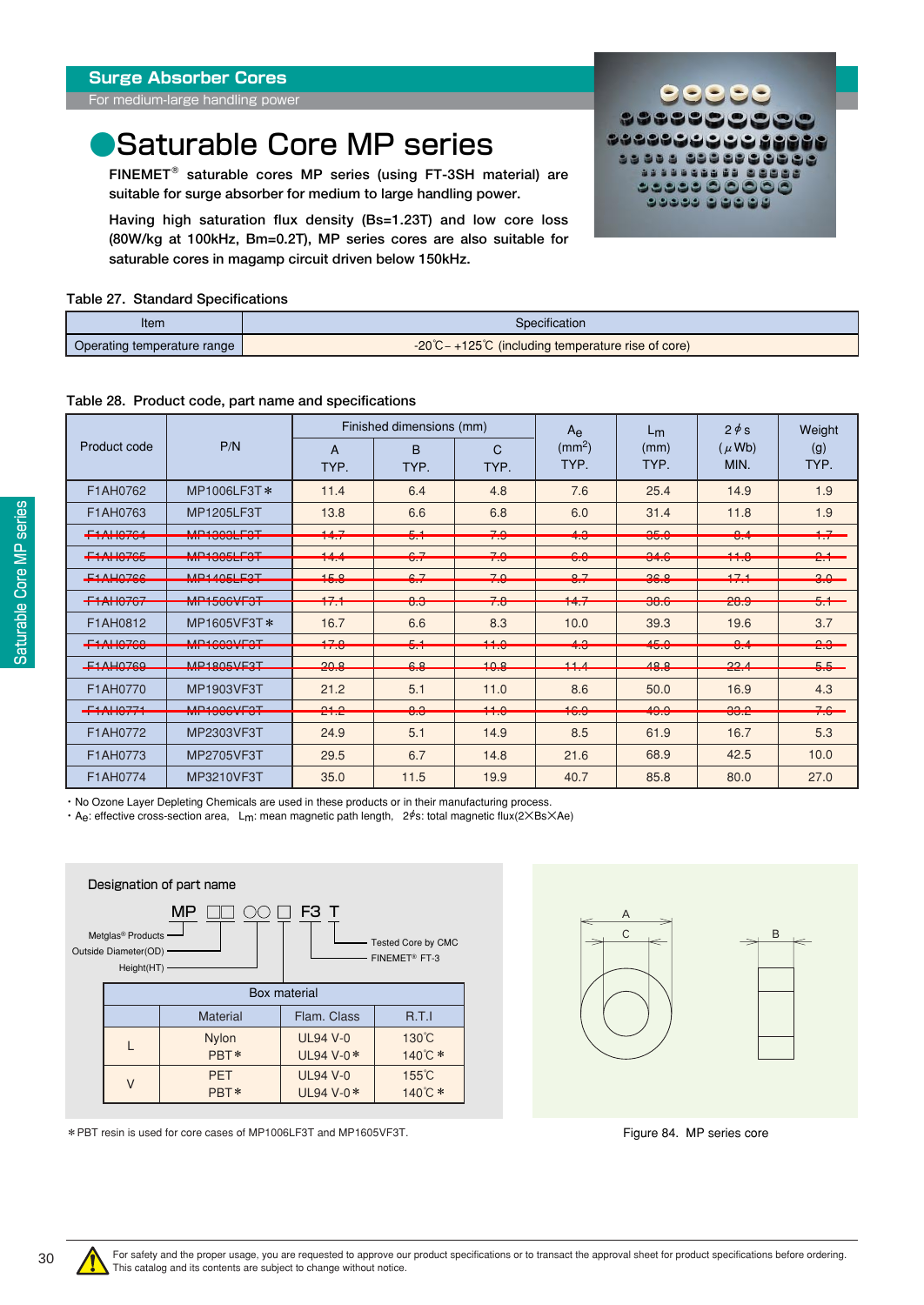<span id="page-29-0"></span>For medium-large handling power

## **Saturable Core MP series**

**FINEMET saturable cores MP series (using FT-3SH material) are suitable for surge absorber for medium to large handling power.** 

**Having high saturation flux density (Bs=1.23T) and low core loss (80W/kg at 100kHz, Bm=0.2T), MP series cores are also suitable for saturable cores in magamp circuit driven below 150kHz.**

#### **Table 27. Standard Specifications**

| Item                        | Specification                                                            |  |  |  |  |  |
|-----------------------------|--------------------------------------------------------------------------|--|--|--|--|--|
| Operating temperature range | $-20^{\circ}$ C – +125 $^{\circ}$ C (including temperature rise of core) |  |  |  |  |  |

#### **Table 28. Product code, part name and specifications**

|                                                                                                                                                                                                                                                                                                                                                                                                  |                                            |                                     | Finished dimensions (mm)                                      |                                            | $A_{\rm e}$<br>(mm <sup>2</sup> )                              | $L_{m}$<br>(mm)                                           | $2 \phi s$                            | Weight                                                        |
|--------------------------------------------------------------------------------------------------------------------------------------------------------------------------------------------------------------------------------------------------------------------------------------------------------------------------------------------------------------------------------------------------|--------------------------------------------|-------------------------------------|---------------------------------------------------------------|--------------------------------------------|----------------------------------------------------------------|-----------------------------------------------------------|---------------------------------------|---------------------------------------------------------------|
| Product code                                                                                                                                                                                                                                                                                                                                                                                     | P/N                                        | A                                   | <sub>B</sub>                                                  | C                                          |                                                                |                                                           | $(\mu$ Wb)                            | (g)                                                           |
|                                                                                                                                                                                                                                                                                                                                                                                                  |                                            | TYP.                                | TYP.                                                          | TYP.                                       | TYP.                                                           | TYP.                                                      | MIN.                                  | TYP.                                                          |
| F1AH0762                                                                                                                                                                                                                                                                                                                                                                                         | MP1006LF3T*                                | 11.4                                | 6.4                                                           | 4.8                                        | 7.6                                                            | 25.4                                                      | 14.9                                  | 1.9                                                           |
| F1AH0763                                                                                                                                                                                                                                                                                                                                                                                         | MP1205LF3T                                 | 13.8                                | 6.6                                                           | 6.8                                        | 6.0                                                            | 31.4                                                      | 11.8                                  | 1.9                                                           |
| $\Gamma$ 1 ALIAZCA<br><b>TELEVISION</b>                                                                                                                                                                                                                                                                                                                                                          | MD1000LE0T<br>IVIL TUVULLUT                | 117<br>$1 - 1$                      | $E - 1$<br>$\overline{\phantom{a}}$                           | 70<br>$\overline{\phantom{a}}$             | $\Lambda$ $\Omega$<br>$\overline{\mathbf{r}}$                  | 250<br>$\overline{\mathsf{v}}\cdot\overline{\mathsf{v}}$  | O <sub>A</sub><br>$\sim$              | $-1$<br>$\mathbf{r}$                                          |
| $F 4$ ALIAZAE<br><b>I I LAN IV LOCA</b>                                                                                                                                                                                                                                                                                                                                                          | MD100ELF0T<br><b>TVIT TUUULI UT</b>        | $\overline{A}$<br><b>TELEVISION</b> | $\sim$ 7<br>$\overline{\mathsf{U} \cdot I}$                   | 70<br>$\overline{1}$ .                     | $\sim$ $\sim$<br>$\overline{\mathsf{v}}.\overline{\mathsf{v}}$ | $\Omega$<br>$U+U$                                         | 440<br>11.0                           | $\sim$ $\sim$<br>$\overline{a}$                               |
| E1AL07CC<br><u>i bi kata wasan san a</u>                                                                                                                                                                                                                                                                                                                                                         | MD140ELE9T<br>in the contract of the state | 4EQ<br>$\overline{\mathbf{v}}$      | $\sim$ 7<br>$\overline{\mathbf{v}}\cdot\mathbf{r}$            | 7 <sub>0</sub><br>$\overline{\phantom{a}}$ | 0 <sub>7</sub><br>$\sim$                                       | 2000<br>$\overline{\mathbf{v}}\cdot\overline{\mathbf{v}}$ | 474<br><b>The Company</b>             | $\Omega$<br>$\overline{\mathbf{v}}\cdot\overline{\mathbf{v}}$ |
| $F$ 4 ALIAZCZ<br><b>TEMPLOT</b>                                                                                                                                                                                                                                                                                                                                                                  | <b>MD4FACULOT</b><br>IVIL IVVVVI VI        | 171<br>$\blacksquare$               | $\Omega$<br>$\overline{\mathbf{v}}\cdot\overline{\mathbf{v}}$ | 70<br>$\overline{1}$ .                     | 4A<br>$1 + .1$                                                 | 00 <sub>0</sub><br>0.0                                    | 000<br>$\overline{C}$                 | $-1$<br>$\overline{\mathbf{v}}$ . $\mathbf{v}$                |
| F1AH0812                                                                                                                                                                                                                                                                                                                                                                                         | MP1605VF3T*                                | 16.7                                | 6.6                                                           | 8.3                                        | 10.0                                                           | 39.3                                                      | 19.6                                  | 3.7                                                           |
| FANIO200<br>$\overline{1}$ $\overline{1}$ $\overline{2}$ $\overline{1}$ $\overline{2}$ $\overline{1}$ $\overline{2}$ $\overline{1}$ $\overline{2}$ $\overline{1}$ $\overline{2}$ $\overline{1}$ $\overline{2}$ $\overline{1}$ $\overline{2}$ $\overline{1}$ $\overline{2}$ $\overline{1}$ $\overline{2}$ $\overline{1}$ $\overline{2}$ $\overline{1}$ $\overline{2}$ $\overline{1}$ $\overline{$ | MD4COOMFOT<br><b>IVIL TUUJVIJI</b>         | 170<br>$\overline{11.0}$            | $E - 4$<br>$\overline{v}$ .                                   | 11 <sub>0</sub><br>$\overline{11.9}$       | $\sqrt{2}$<br>$\overline{\mathbf{r} \cdot \mathbf{v}}$         | $1 - 0$<br>TV.V                                           | $\Omega$<br>$\overline{\mathbf{v}}$ . | $\Omega$<br>$\overline{C}$                                    |
| $E1$ A LIQTEQ<br><b>BELLANDING AND</b>                                                                                                                                                                                                                                                                                                                                                           | MD1005VE0T<br><u>IVIL TEVYVY VIEVI</u>     | 200<br><b>AVIV</b>                  | $\sim$ $\circ$<br>$\overline{\mathbf{v}}$                     | 100<br><b>TVIV</b>                         | 11 <sub>A</sub><br><b>State State</b>                          | $AO$ $O$<br><b>TVRV</b>                                   | 22A<br><b>CONTRACTOR</b>              | F F<br>$\sim$ $\sim$                                          |
| F1AH0770                                                                                                                                                                                                                                                                                                                                                                                         | MP1903VF3T                                 | 21.2                                | 5.1                                                           | 11.0                                       | 8.6                                                            | 50.0                                                      | 16.9                                  | 4.3                                                           |
| $F \leftarrow A \cup A \cup B$<br><b>TERM IV/AL</b>                                                                                                                                                                                                                                                                                                                                              | MD4000VLDOT<br><b>TVILLYVVVI VI</b>        | $0 + 0$<br>C1.6                     | $\Omega$<br>$\overline{\mathbf{u}}\cdot\overline{\mathbf{v}}$ | $\overline{110}$<br>$\overline{11.0}$      | 10 <sub>0</sub><br>10.5                                        | 10 <sub>0</sub><br>40.0                                   | 000<br>$UU \cdot C$                   | $\overline{\phantom{a}}$<br>7.0                               |
| F1AH0772                                                                                                                                                                                                                                                                                                                                                                                         | MP2303VF3T                                 | 24.9                                | 5.1                                                           | 14.9                                       | 8.5                                                            | 61.9                                                      | 16.7                                  | 5.3                                                           |
| F1AH0773                                                                                                                                                                                                                                                                                                                                                                                         | MP2705VF3T                                 | 29.5                                | 6.7                                                           | 14.8                                       | 21.6                                                           | 68.9                                                      | 42.5                                  | 10.0                                                          |
| F1AH0774                                                                                                                                                                                                                                                                                                                                                                                         | MP3210VF3T                                 | 35.0                                | 11.5                                                          | 19.9                                       | 40.7                                                           | 85.8                                                      | 80.0                                  | 27.0                                                          |

・ No Ozone Layer Depleting Chemicals are used in these products or in their manufacturing process.

・ Ae: effective cross-section area, Lm: mean magnetic path length, 2φs: total magnetic flux(2×Bs×Ae)



\*PBT resin is used for core cases of MP1006LF3T and MP1605VF3T.



<u>. . . . 0 0 0 0 0 0</u>

3333333

Figure 84. MP series core



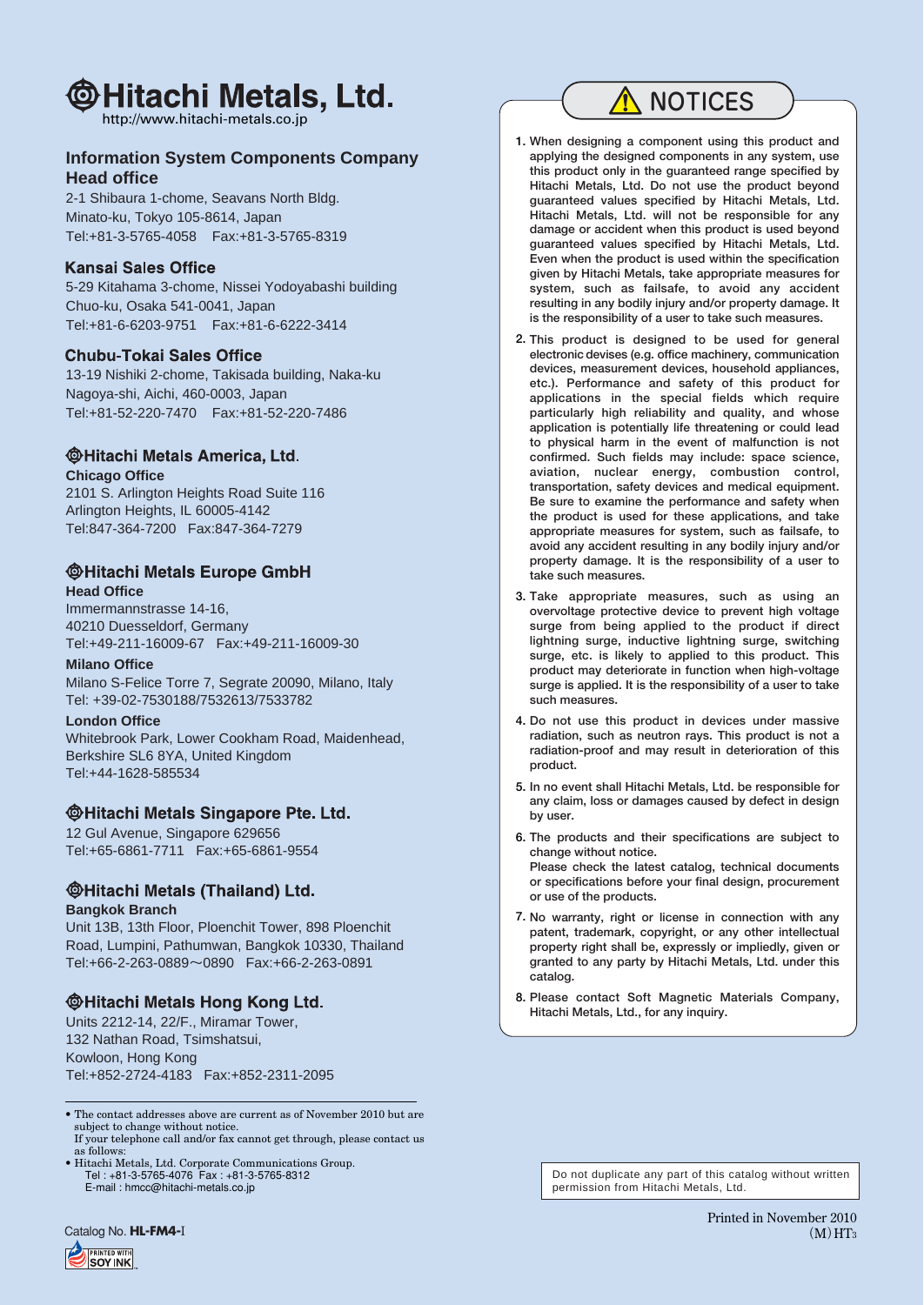## @Hitachi Metals, Ltd.

http://www.hitachi-metals.co.jp

#### **Information System Components Company Head office**

2-1 Shibaura 1-chome, Seavans North Bldg. Minato-ku, Tokyo 105-8614, Japan Tel:+81-3-5765-4058 Fax:+81-3-5765-8319

#### **Kansai Sales Office**

5-29 Kitahama 3-chome, Nissei Yodoyabashi building Chuo-ku, Osaka 541-0041, Japan Tel:+81-6-6203-9751 Fax:+81-6-6222-3414

#### **Chubu-Tokai Sales Office**

13-19 Nishiki 2-chome, Takisada building, Naka-ku Nagoya-shi, Aichi, 460-0003, Japan Tel:+81-52-220-7470 Fax:+81-52-220-7486

#### **@Hitachi Metals America, Ltd. Chicago Office**

2101 S. Arlington Heights Road Suite 116 Arlington Heights, IL 60005-4142 Tel:847-364-7200 Fax:847-364-7279

#### **@Hitachi Metals Europe GmbH Head Office**

Immermannstrasse 14-16, 40210 Duesseldorf, Germany Tel:+49-211-16009-67 Fax:+49-211-16009-30

#### **Milano Office**

Milano S-Felice Torre 7, Segrate 20090, Milano, Italy Tel: +39-02-7530188/7532613/7533782

#### **London Office**

Whitebrook Park, Lower Cookham Road, Maidenhead, Berkshire SL6 8YA, United Kingdom Tel:+44-1628-585534

#### **@Hitachi Metals Singapore Pte. Ltd.**

12 Gul Avenue, Singapore 629656 Tel:+65-6861-7711 Fax:+65-6861-9554

### **@Hitachi Metals (Thailand) Ltd.**

#### **Bangkok Branch**

Unit 13B, 13th Floor, Ploenchit Tower, 898 Ploenchit Road, Lumpini, Pathumwan, Bangkok 10330, Thailand Tel:+66-2-263-0889~0890 Fax:+66-2-263-0891

### **@Hitachi Metals Hong Kong Ltd.**

Units 2212-14, 22/F., Miramar Tower, 132 Nathan Road, Tsimshatsui, Kowloon, Hong Kong Tel:+852-2724-4183 Fax:+852-2311-2095

• The contact addresses above are current as of November 2010 but are subject to change without notice. If your telephone call and/or fax cannot get through, please contact us

as follows: • Hitachi Metals, Ltd. Corporate Communications Group. Tel : +81-3-5765-4076 Fax : +81-3-5765-8312 E-mail : hmcc@hitachi-metals.co.jp

### A NOTICES

- **1. When designing a component using this product and applying the designed components in any system, use this product only in the guaranteed range specified by Hitachi Metals, Ltd. Do not use the product beyond guaranteed values specified by Hitachi Metals, Ltd. Hitachi Metals, Ltd. will not be responsible for any damage or accident when this product is used beyond guaranteed values specified by Hitachi Metals, Ltd. Even when the product is used within the specification given by Hitachi Metals, take appropriate measures for system, such as failsafe, to avoid any accident resulting in any bodily injury and/or property damage. It is the responsibility of a user to take such measures.**
- **2. This product is designed to be used for general electronic devises (e.g. office machinery, communication devices, measurement devices, household appliances, etc.). Performance and safety of this product for applications in the special fields which require particularly high reliability and quality, and whose application is potentially life threatening or could lead to physical harm in the event of malfunction is not confirmed. Such fields may include: space science, aviation, nuclear energy, combustion control, transportation, safety devices and medical equipment. Be sure to examine the performance and safety when the product is used for these applications, and take appropriate measures for system, such as failsafe, to avoid any accident resulting in any bodily injury and/or property damage. It is the responsibility of a user to take such measures.**
- **3. Take appropriate measures, such as using an overvoltage protective device to prevent high voltage surge from being applied to the product if direct lightning surge, inductive lightning surge, switching surge, etc. is likely to applied to this product. This product may deteriorate in function when high-voltage surge is applied. It is the responsibility of a user to take such measures.**
- **4. Do not use this product in devices under massive radiation, such as neutron rays. This product is not a radiation-proof and may result in deterioration of this product.**
- **5. In no event shall Hitachi Metals, Ltd. be responsible for any claim, loss or damages caused by defect in design by user.**
- **6. The products and their specifications are subject to change without notice. Please check the latest catalog, technical documents or specifications before your final design, procurement or use of the products.**
- **7. No warranty, right or license in connection with any patent, trademark, copyright, or any other intellectual property right shall be, expressly or impliedly, given or granted to any party by Hitachi Metals, Ltd. under this catalog.**
- **8. Please contact Soft Magnetic Materials Company, Hitachi Metals, Ltd., for any inquiry.**

Do not duplicate any part of this catalog without written permission from Hitachi Metals, Ltd.

Catalog No. **HL-FM4-I**